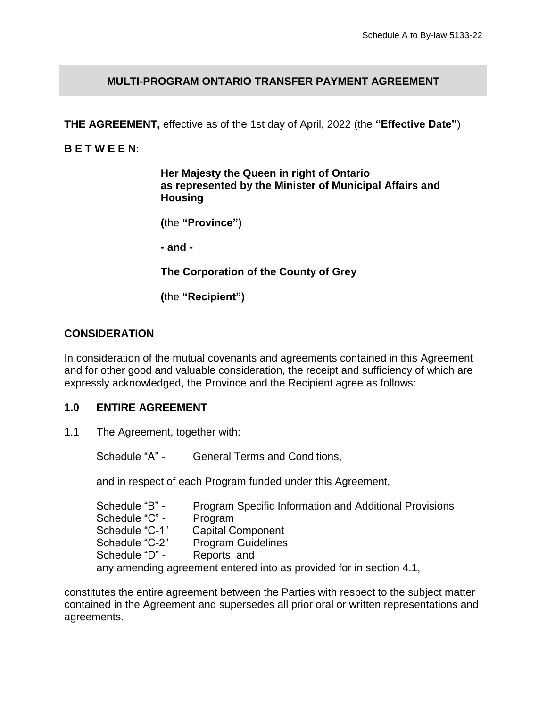## **MULTI-PROGRAM ONTARIO TRANSFER PAYMENT AGREEMENT**

**THE AGREEMENT,** effective as of the 1st day of April, 2022 (the **"Effective Date"**)

#### **B E T W E E N:**

**Her Majesty the Queen in right of Ontario as represented by the Minister of Municipal Affairs and Housing**

**(**the **"Province")**

**- and -**

**The Corporation of the County of Grey**

**(**the **"Recipient")**

#### **CONSIDERATION**

In consideration of the mutual covenants and agreements contained in this Agreement and for other good and valuable consideration, the receipt and sufficiency of which are expressly acknowledged, the Province and the Recipient agree as follows:

#### **1.0 ENTIRE AGREEMENT**

1.1 The Agreement, together with:

Schedule "A" - General Terms and Conditions,

and in respect of each Program funded under this Agreement,

Schedule "B" - Program Specific Information and Additional Provisions Schedule "C" - Program Schedule "C-1" Capital Component Schedule "C-2" Program Guidelines Schedule "D" - Reports, and any amending agreement entered into as provided for in section 4.1,

constitutes the entire agreement between the Parties with respect to the subject matter contained in the Agreement and supersedes all prior oral or written representations and agreements.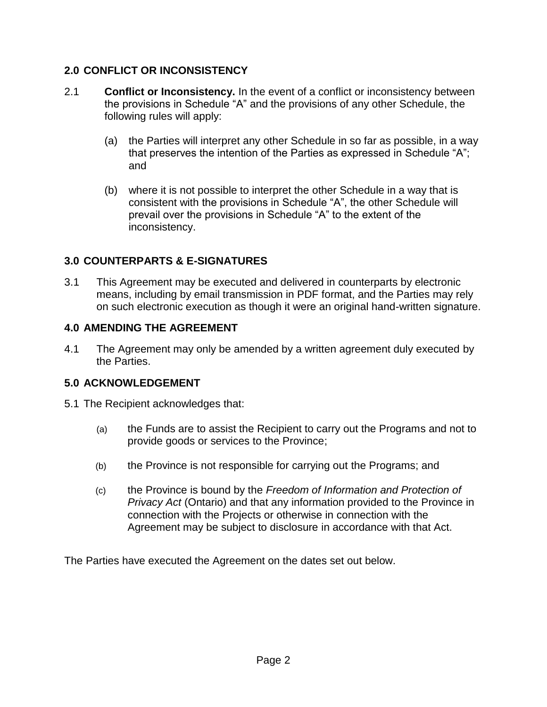# **2.0 CONFLICT OR INCONSISTENCY**

- 2.1 **Conflict or Inconsistency.** In the event of a conflict or inconsistency between the provisions in Schedule "A" and the provisions of any other Schedule, the following rules will apply:
	- (a) the Parties will interpret any other Schedule in so far as possible, in a way that preserves the intention of the Parties as expressed in Schedule "A"; and
	- (b) where it is not possible to interpret the other Schedule in a way that is consistent with the provisions in Schedule "A", the other Schedule will prevail over the provisions in Schedule "A" to the extent of the inconsistency.

# **3.0 COUNTERPARTS & E-SIGNATURES**

3.1 This Agreement may be executed and delivered in counterparts by electronic means, including by email transmission in PDF format, and the Parties may rely on such electronic execution as though it were an original hand-written signature.

## **4.0 AMENDING THE AGREEMENT**

4.1 The Agreement may only be amended by a written agreement duly executed by the Parties.

# **5.0 ACKNOWLEDGEMENT**

- 5.1 The Recipient acknowledges that:
	- (a) the Funds are to assist the Recipient to carry out the Programs and not to provide goods or services to the Province;
	- (b) the Province is not responsible for carrying out the Programs; and
	- (c) the Province is bound by the *Freedom of Information and Protection of Privacy Act* (Ontario) and that any information provided to the Province in connection with the Projects or otherwise in connection with the Agreement may be subject to disclosure in accordance with that Act.

The Parties have executed the Agreement on the dates set out below.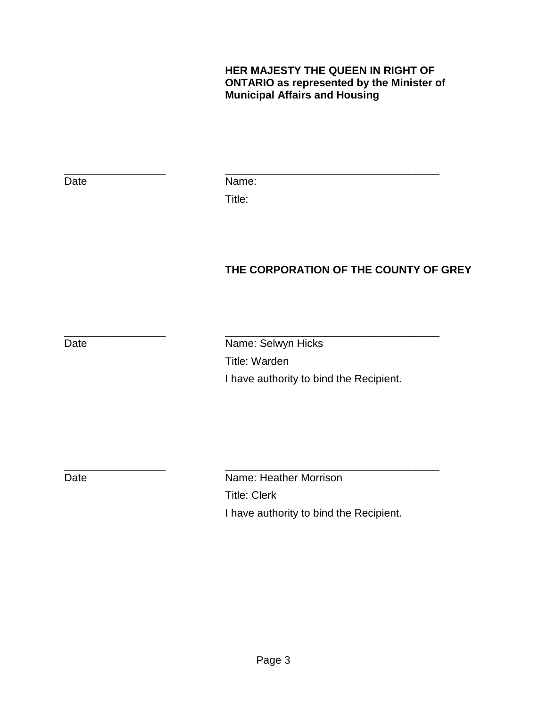## **HER MAJESTY THE QUEEN IN RIGHT OF ONTARIO as represented by the Minister of Municipal Affairs and Housing**

Date Name: Title:

\_\_\_\_\_\_\_\_\_\_\_\_\_\_\_\_\_ \_\_\_\_\_\_\_\_\_\_\_\_\_\_\_\_\_\_\_\_\_\_\_\_\_\_\_\_\_\_\_\_\_\_\_\_

**THE CORPORATION OF THE COUNTY OF GREY**

\_\_\_\_\_\_\_\_\_\_\_\_\_\_\_\_\_ \_\_\_\_\_\_\_\_\_\_\_\_\_\_\_\_\_\_\_\_\_\_\_\_\_\_\_\_\_\_\_\_\_\_\_\_ Date **Name:** Selwyn Hicks Title: Warden I have authority to bind the Recipient.

\_\_\_\_\_\_\_\_\_\_\_\_\_\_\_\_\_ \_\_\_\_\_\_\_\_\_\_\_\_\_\_\_\_\_\_\_\_\_\_\_\_\_\_\_\_\_\_\_\_\_\_\_\_ Date **Name:** Heather Morrison Title: Clerk I have authority to bind the Recipient.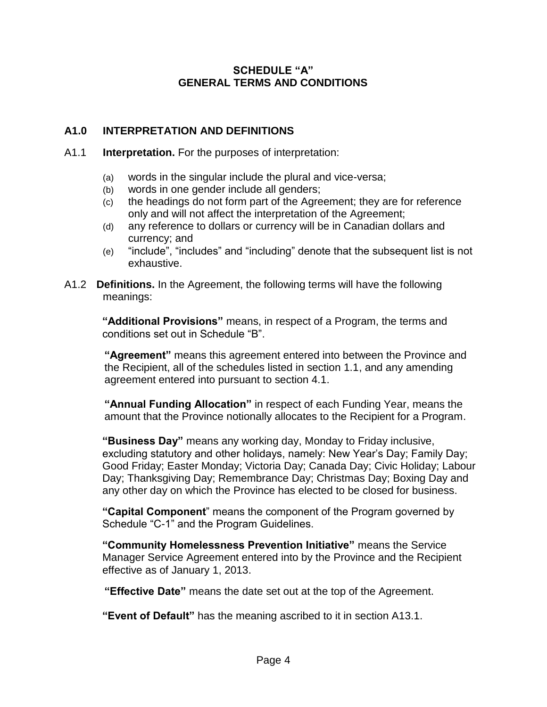## **SCHEDULE "A" GENERAL TERMS AND CONDITIONS**

# **A1.0 INTERPRETATION AND DEFINITIONS**

#### A1.1 **Interpretation.** For the purposes of interpretation:

- (a) words in the singular include the plural and vice-versa;
- (b) words in one gender include all genders;
- (c) the headings do not form part of the Agreement; they are for reference only and will not affect the interpretation of the Agreement;
- (d) any reference to dollars or currency will be in Canadian dollars and currency; and
- (e) "include", "includes" and "including" denote that the subsequent list is not exhaustive.
- A1.2 **Definitions.** In the Agreement, the following terms will have the following meanings:

**"Additional Provisions"** means, in respect of a Program, the terms and conditions set out in Schedule "B".

**"Agreement"** means this agreement entered into between the Province and the Recipient, all of the schedules listed in section 1.1, and any amending agreement entered into pursuant to section 4.1.

**"Annual Funding Allocation"** in respect of each Funding Year, means the amount that the Province notionally allocates to the Recipient for a Program.

**"Business Day"** means any working day, Monday to Friday inclusive, excluding statutory and other holidays, namely: New Year's Day; Family Day; Good Friday; Easter Monday; Victoria Day; Canada Day; Civic Holiday; Labour Day; Thanksgiving Day; Remembrance Day; Christmas Day; Boxing Day and any other day on which the Province has elected to be closed for business.

**"Capital Component**" means the component of the Program governed by Schedule "C-1" and the Program Guidelines.

**"Community Homelessness Prevention Initiative"** means the Service Manager Service Agreement entered into by the Province and the Recipient effective as of January 1, 2013.

**"Effective Date"** means the date set out at the top of the Agreement.

**"Event of Default"** has the meaning ascribed to it in section A13.1.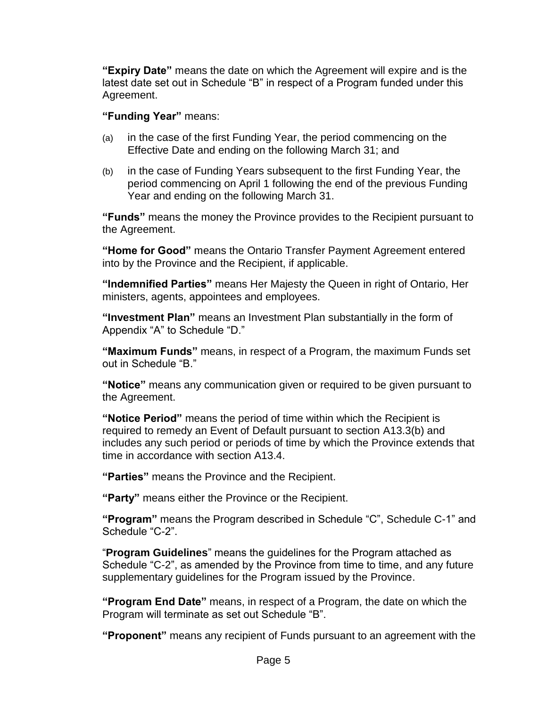**"Expiry Date"** means the date on which the Agreement will expire and is the latest date set out in Schedule "B" in respect of a Program funded under this Agreement.

## **"Funding Year"** means:

- (a) in the case of the first Funding Year, the period commencing on the Effective Date and ending on the following March 31; and
- (b) in the case of Funding Years subsequent to the first Funding Year, the period commencing on April 1 following the end of the previous Funding Year and ending on the following March 31.

**"Funds"** means the money the Province provides to the Recipient pursuant to the Agreement.

**"Home for Good"** means the Ontario Transfer Payment Agreement entered into by the Province and the Recipient, if applicable.

**"Indemnified Parties"** means Her Majesty the Queen in right of Ontario, Her ministers, agents, appointees and employees.

**"Investment Plan"** means an Investment Plan substantially in the form of Appendix "A" to Schedule "D."

**"Maximum Funds"** means, in respect of a Program, the maximum Funds set out in Schedule "B."

**"Notice"** means any communication given or required to be given pursuant to the Agreement.

**"Notice Period"** means the period of time within which the Recipient is required to remedy an Event of Default pursuant to section A13.3(b) and includes any such period or periods of time by which the Province extends that time in accordance with section A13.4.

**"Parties"** means the Province and the Recipient.

**"Party"** means either the Province or the Recipient.

**"Program"** means the Program described in Schedule "C", Schedule C-1" and Schedule "C-2".

"**Program Guidelines**" means the guidelines for the Program attached as Schedule "C-2", as amended by the Province from time to time, and any future supplementary guidelines for the Program issued by the Province.

**"Program End Date"** means, in respect of a Program, the date on which the Program will terminate as set out Schedule "B".

**"Proponent"** means any recipient of Funds pursuant to an agreement with the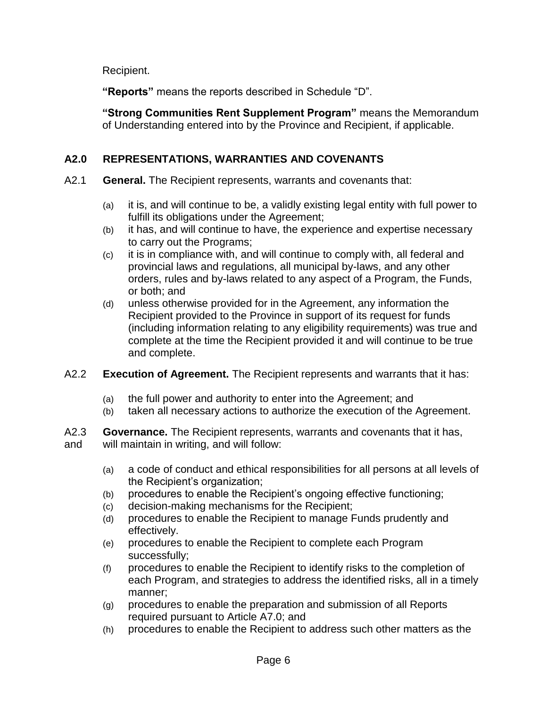Recipient.

**"Reports"** means the reports described in Schedule "D".

**"Strong Communities Rent Supplement Program"** means the Memorandum of Understanding entered into by the Province and Recipient, if applicable.

# **A2.0 REPRESENTATIONS, WARRANTIES AND COVENANTS**

- A2.1 **General.** The Recipient represents, warrants and covenants that:
	- (a) it is, and will continue to be, a validly existing legal entity with full power to fulfill its obligations under the Agreement;
	- (b) it has, and will continue to have, the experience and expertise necessary to carry out the Programs;
	- (c) it is in compliance with, and will continue to comply with, all federal and provincial laws and regulations, all municipal by-laws, and any other orders, rules and by-laws related to any aspect of a Program, the Funds, or both; and
	- (d) unless otherwise provided for in the Agreement, any information the Recipient provided to the Province in support of its request for funds (including information relating to any eligibility requirements) was true and complete at the time the Recipient provided it and will continue to be true and complete.
- A2.2 **Execution of Agreement.** The Recipient represents and warrants that it has:
	- (a) the full power and authority to enter into the Agreement; and
	- (b) taken all necessary actions to authorize the execution of the Agreement.

A2.3 **Governance.** The Recipient represents, warrants and covenants that it has, and will maintain in writing, and will follow:

- (a) a code of conduct and ethical responsibilities for all persons at all levels of the Recipient's organization;
- (b) procedures to enable the Recipient's ongoing effective functioning;
- (c) decision-making mechanisms for the Recipient;
- (d) procedures to enable the Recipient to manage Funds prudently and effectively.
- (e) procedures to enable the Recipient to complete each Program successfully;
- (f) procedures to enable the Recipient to identify risks to the completion of each Program, and strategies to address the identified risks, all in a timely manner;
- (g) procedures to enable the preparation and submission of all Reports required pursuant to Article A7.0; and
- (h) procedures to enable the Recipient to address such other matters as the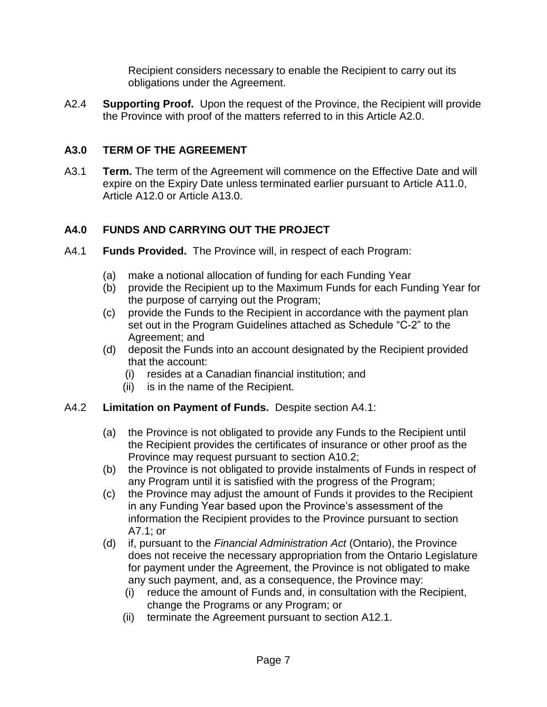Recipient considers necessary to enable the Recipient to carry out its obligations under the Agreement.

A2.4 **Supporting Proof.** Upon the request of the Province, the Recipient will provide the Province with proof of the matters referred to in this Article A2.0.

# **A3.0 TERM OF THE AGREEMENT**

A3.1 **Term.** The term of the Agreement will commence on the Effective Date and will expire on the Expiry Date unless terminated earlier pursuant to Article A11.0, Article A12.0 or Article A13.0.

# **A4.0 FUNDS AND CARRYING OUT THE PROJECT**

- A4.1 **Funds Provided.** The Province will, in respect of each Program:
	- (a) make a notional allocation of funding for each Funding Year
	- (b) provide the Recipient up to the Maximum Funds for each Funding Year for the purpose of carrying out the Program;
	- (c) provide the Funds to the Recipient in accordance with the payment plan set out in the Program Guidelines attached as Schedule "C-2" to the Agreement; and
	- (d) deposit the Funds into an account designated by the Recipient provided that the account:
		- (i) resides at a Canadian financial institution; and
		- (ii) is in the name of the Recipient.

# A4.2 **Limitation on Payment of Funds.** Despite section A4.1:

- (a) the Province is not obligated to provide any Funds to the Recipient until the Recipient provides the certificates of insurance or other proof as the Province may request pursuant to section A10.2;
- (b) the Province is not obligated to provide instalments of Funds in respect of any Program until it is satisfied with the progress of the Program;
- (c) the Province may adjust the amount of Funds it provides to the Recipient in any Funding Year based upon the Province's assessment of the information the Recipient provides to the Province pursuant to section A7.1; or
- (d) if, pursuant to the *Financial Administration Act* (Ontario), the Province does not receive the necessary appropriation from the Ontario Legislature for payment under the Agreement, the Province is not obligated to make any such payment, and, as a consequence, the Province may:
	- (i) reduce the amount of Funds and, in consultation with the Recipient, change the Programs or any Program; or
	- (ii) terminate the Agreement pursuant to section A12.1.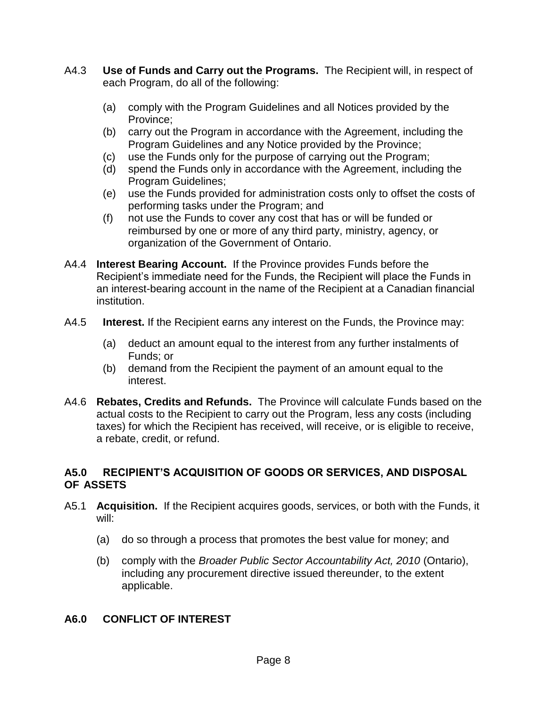- A4.3 **Use of Funds and Carry out the Programs.** The Recipient will, in respect of each Program, do all of the following:
	- (a) comply with the Program Guidelines and all Notices provided by the Province;
	- (b) carry out the Program in accordance with the Agreement, including the Program Guidelines and any Notice provided by the Province;
	- (c) use the Funds only for the purpose of carrying out the Program;
	- (d) spend the Funds only in accordance with the Agreement, including the Program Guidelines;
	- (e) use the Funds provided for administration costs only to offset the costs of performing tasks under the Program; and
	- (f) not use the Funds to cover any cost that has or will be funded or reimbursed by one or more of any third party, ministry, agency, or organization of the Government of Ontario.
- A4.4 **Interest Bearing Account.** If the Province provides Funds before the Recipient's immediate need for the Funds, the Recipient will place the Funds in an interest-bearing account in the name of the Recipient at a Canadian financial institution.
- A4.5 **Interest.** If the Recipient earns any interest on the Funds, the Province may:
	- (a) deduct an amount equal to the interest from any further instalments of Funds; or
	- (b) demand from the Recipient the payment of an amount equal to the interest.
- A4.6 **Rebates, Credits and Refunds.** The Province will calculate Funds based on the actual costs to the Recipient to carry out the Program, less any costs (including taxes) for which the Recipient has received, will receive, or is eligible to receive, a rebate, credit, or refund.

## **A5.0 RECIPIENT'S ACQUISITION OF GOODS OR SERVICES, AND DISPOSAL OF ASSETS**

- A5.1 **Acquisition.** If the Recipient acquires goods, services, or both with the Funds, it will:
	- (a) do so through a process that promotes the best value for money; and
	- (b) comply with the *Broader Public Sector Accountability Act, 2010* (Ontario), including any procurement directive issued thereunder, to the extent applicable.

## **A6.0 CONFLICT OF INTEREST**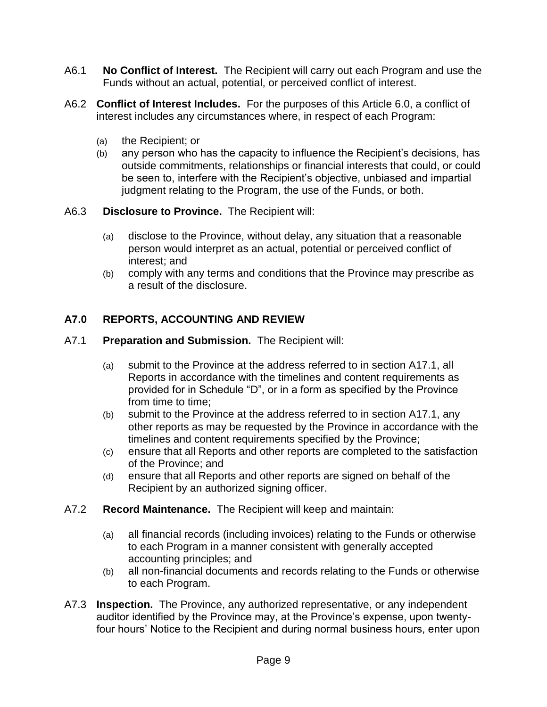- A6.1 **No Conflict of Interest.** The Recipient will carry out each Program and use the Funds without an actual, potential, or perceived conflict of interest.
- A6.2 **Conflict of Interest Includes.** For the purposes of this Article 6.0, a conflict of interest includes any circumstances where, in respect of each Program:
	- (a) the Recipient; or
	- (b) any person who has the capacity to influence the Recipient's decisions, has outside commitments, relationships or financial interests that could, or could be seen to, interfere with the Recipient's objective, unbiased and impartial judgment relating to the Program, the use of the Funds, or both.
- A6.3 **Disclosure to Province.** The Recipient will:
	- (a) disclose to the Province, without delay, any situation that a reasonable person would interpret as an actual, potential or perceived conflict of interest; and
	- (b) comply with any terms and conditions that the Province may prescribe as a result of the disclosure.

# **A7.0 REPORTS, ACCOUNTING AND REVIEW**

- A7.1 **Preparation and Submission.** The Recipient will:
	- (a) submit to the Province at the address referred to in section A17.1, all Reports in accordance with the timelines and content requirements as provided for in Schedule "D", or in a form as specified by the Province from time to time;
	- (b) submit to the Province at the address referred to in section A17.1, any other reports as may be requested by the Province in accordance with the timelines and content requirements specified by the Province;
	- (c) ensure that all Reports and other reports are completed to the satisfaction of the Province; and
	- (d) ensure that all Reports and other reports are signed on behalf of the Recipient by an authorized signing officer.
- A7.2 **Record Maintenance.** The Recipient will keep and maintain:
	- (a) all financial records (including invoices) relating to the Funds or otherwise to each Program in a manner consistent with generally accepted accounting principles; and
	- (b) all non-financial documents and records relating to the Funds or otherwise to each Program.
- A7.3 **Inspection.** The Province, any authorized representative, or any independent auditor identified by the Province may, at the Province's expense, upon twentyfour hours' Notice to the Recipient and during normal business hours, enter upon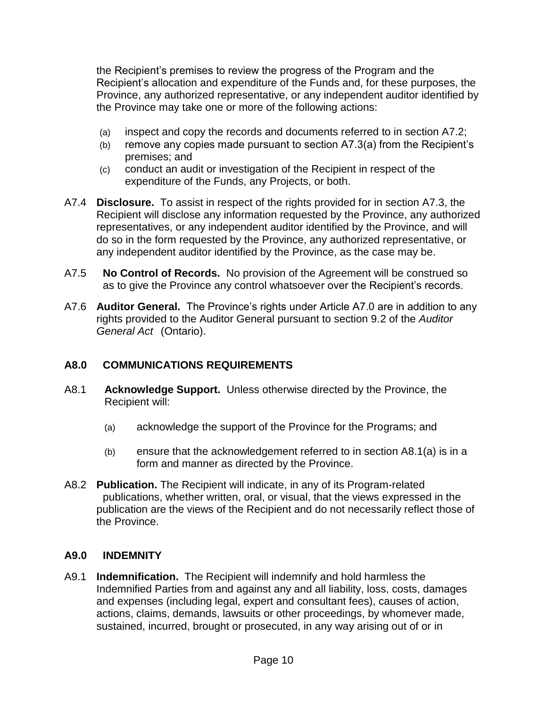the Recipient's premises to review the progress of the Program and the Recipient's allocation and expenditure of the Funds and, for these purposes, the Province, any authorized representative, or any independent auditor identified by the Province may take one or more of the following actions:

- (a) inspect and copy the records and documents referred to in section A7.2;
- (b) remove any copies made pursuant to section A7.3(a) from the Recipient's premises; and
- (c) conduct an audit or investigation of the Recipient in respect of the expenditure of the Funds, any Projects, or both.
- A7.4 **Disclosure.** To assist in respect of the rights provided for in section A7.3, the Recipient will disclose any information requested by the Province, any authorized representatives, or any independent auditor identified by the Province, and will do so in the form requested by the Province, any authorized representative, or any independent auditor identified by the Province, as the case may be.
- A7.5 **No Control of Records.** No provision of the Agreement will be construed so as to give the Province any control whatsoever over the Recipient's records.
- A7.6 **Auditor General.** The Province's rights under Article A7.0 are in addition to any rights provided to the Auditor General pursuant to section 9.2 of the *Auditor General Act* (Ontario).

## **A8.0 COMMUNICATIONS REQUIREMENTS**

- A8.1 **Acknowledge Support.** Unless otherwise directed by the Province, the Recipient will:
	- (a) acknowledge the support of the Province for the Programs; and
	- (b) ensure that the acknowledgement referred to in section A8.1(a) is in a form and manner as directed by the Province.
- A8.2 **Publication.** The Recipient will indicate, in any of its Program-related publications, whether written, oral, or visual, that the views expressed in the publication are the views of the Recipient and do not necessarily reflect those of the Province.

## **A9.0 INDEMNITY**

A9.1 **Indemnification.** The Recipient will indemnify and hold harmless the Indemnified Parties from and against any and all liability, loss, costs, damages and expenses (including legal, expert and consultant fees), causes of action, actions, claims, demands, lawsuits or other proceedings, by whomever made, sustained, incurred, brought or prosecuted, in any way arising out of or in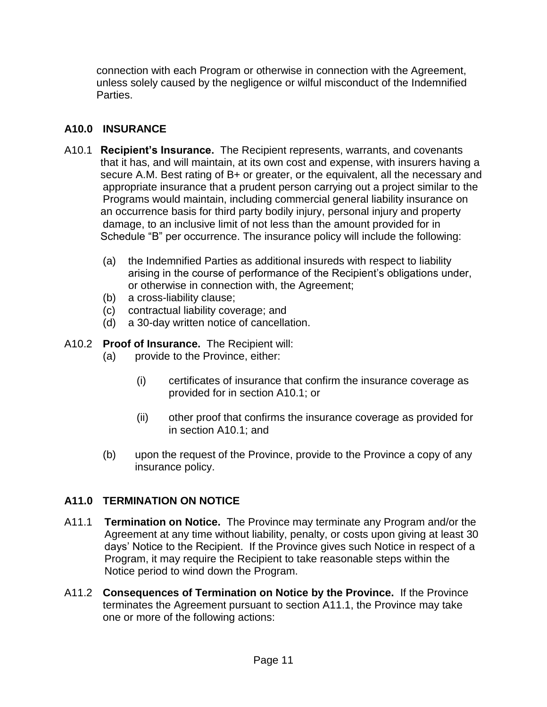connection with each Program or otherwise in connection with the Agreement, unless solely caused by the negligence or wilful misconduct of the Indemnified Parties.

# **A10.0 INSURANCE**

- A10.1 **Recipient's Insurance.** The Recipient represents, warrants, and covenants that it has, and will maintain, at its own cost and expense, with insurers having a secure A.M. Best rating of B+ or greater, or the equivalent, all the necessary and appropriate insurance that a prudent person carrying out a project similar to the Programs would maintain, including commercial general liability insurance on an occurrence basis for third party bodily injury, personal injury and property damage, to an inclusive limit of not less than the amount provided for in Schedule "B" per occurrence. The insurance policy will include the following:
	- (a) the Indemnified Parties as additional insureds with respect to liability arising in the course of performance of the Recipient's obligations under, or otherwise in connection with, the Agreement;
	- (b) a cross-liability clause;
	- (c) contractual liability coverage; and
	- (d) a 30-day written notice of cancellation.
- A10.2 **Proof of Insurance.** The Recipient will:
	- (a) provide to the Province, either:
		- (i) certificates of insurance that confirm the insurance coverage as provided for in section A10.1; or
		- (ii) other proof that confirms the insurance coverage as provided for in section A10.1; and
	- (b) upon the request of the Province, provide to the Province a copy of any insurance policy.

# **A11.0 TERMINATION ON NOTICE**

- A11.1 **Termination on Notice.** The Province may terminate any Program and/or the Agreement at any time without liability, penalty, or costs upon giving at least 30 days' Notice to the Recipient. If the Province gives such Notice in respect of a Program, it may require the Recipient to take reasonable steps within the Notice period to wind down the Program.
- A11.2 **Consequences of Termination on Notice by the Province.** If the Province terminates the Agreement pursuant to section A11.1, the Province may take one or more of the following actions: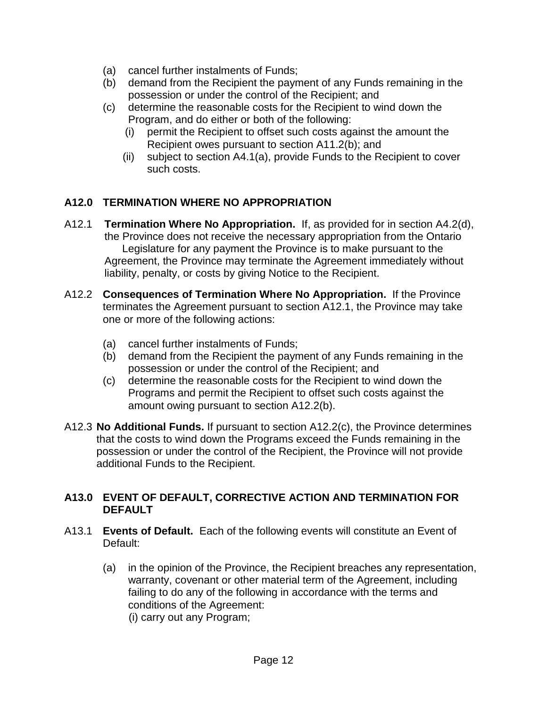- (a) cancel further instalments of Funds;
- (b) demand from the Recipient the payment of any Funds remaining in the possession or under the control of the Recipient; and
- (c) determine the reasonable costs for the Recipient to wind down the Program, and do either or both of the following:
	- (i) permit the Recipient to offset such costs against the amount the Recipient owes pursuant to section A11.2(b); and
	- (ii) subject to section A4.1(a), provide Funds to the Recipient to cover such costs.

# **A12.0 TERMINATION WHERE NO APPROPRIATION**

- A12.1 **Termination Where No Appropriation.** If, as provided for in section A4.2(d), the Province does not receive the necessary appropriation from the Ontario Legislature for any payment the Province is to make pursuant to the Agreement, the Province may terminate the Agreement immediately without liability, penalty, or costs by giving Notice to the Recipient.
- A12.2 **Consequences of Termination Where No Appropriation.** If the Province terminates the Agreement pursuant to section A12.1, the Province may take one or more of the following actions:
	- (a) cancel further instalments of Funds;
	- (b) demand from the Recipient the payment of any Funds remaining in the possession or under the control of the Recipient; and
	- (c) determine the reasonable costs for the Recipient to wind down the Programs and permit the Recipient to offset such costs against the amount owing pursuant to section A12.2(b).
- A12.3 **No Additional Funds.** If pursuant to section A12.2(c), the Province determines that the costs to wind down the Programs exceed the Funds remaining in the possession or under the control of the Recipient, the Province will not provide additional Funds to the Recipient.

## **A13.0 EVENT OF DEFAULT, CORRECTIVE ACTION AND TERMINATION FOR DEFAULT**

- A13.1 **Events of Default.** Each of the following events will constitute an Event of Default:
	- (a) in the opinion of the Province, the Recipient breaches any representation, warranty, covenant or other material term of the Agreement, including failing to do any of the following in accordance with the terms and conditions of the Agreement: (i) carry out any Program;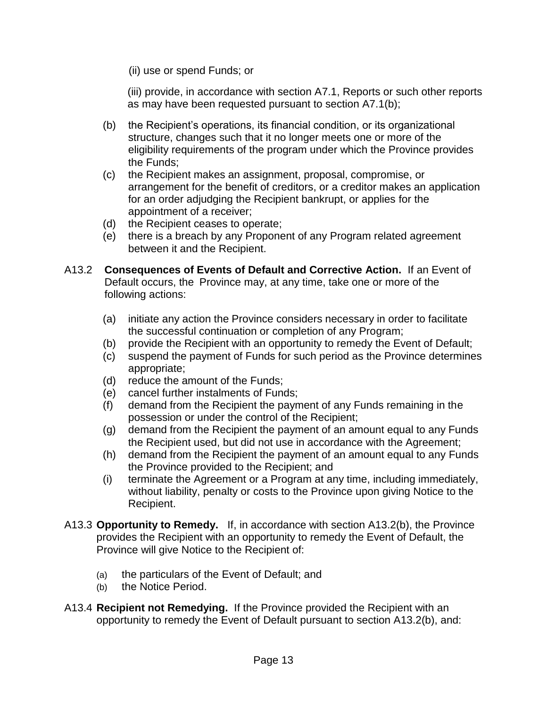(ii) use or spend Funds; or

(iii) provide, in accordance with section A7.1, Reports or such other reports as may have been requested pursuant to section A7.1(b);

- (b) the Recipient's operations, its financial condition, or its organizational structure, changes such that it no longer meets one or more of the eligibility requirements of the program under which the Province provides the Funds;
- (c) the Recipient makes an assignment, proposal, compromise, or arrangement for the benefit of creditors, or a creditor makes an application for an order adjudging the Recipient bankrupt, or applies for the appointment of a receiver;
- (d) the Recipient ceases to operate;
- (e) there is a breach by any Proponent of any Program related agreement between it and the Recipient.
- A13.2 **Consequences of Events of Default and Corrective Action.** If an Event of Default occurs, the Province may, at any time, take one or more of the following actions:
	- (a) initiate any action the Province considers necessary in order to facilitate the successful continuation or completion of any Program;
	- (b) provide the Recipient with an opportunity to remedy the Event of Default;
	- (c) suspend the payment of Funds for such period as the Province determines appropriate;
	- (d) reduce the amount of the Funds;
	- (e) cancel further instalments of Funds;
	- (f) demand from the Recipient the payment of any Funds remaining in the possession or under the control of the Recipient;
	- (g) demand from the Recipient the payment of an amount equal to any Funds the Recipient used, but did not use in accordance with the Agreement;
	- (h) demand from the Recipient the payment of an amount equal to any Funds the Province provided to the Recipient; and
	- (i) terminate the Agreement or a Program at any time, including immediately, without liability, penalty or costs to the Province upon giving Notice to the Recipient.
- A13.3 **Opportunity to Remedy.** If, in accordance with section A13.2(b), the Province provides the Recipient with an opportunity to remedy the Event of Default, the Province will give Notice to the Recipient of:
	- (a) the particulars of the Event of Default; and
	- (b) the Notice Period.
- A13.4 **Recipient not Remedying.** If the Province provided the Recipient with an opportunity to remedy the Event of Default pursuant to section A13.2(b), and: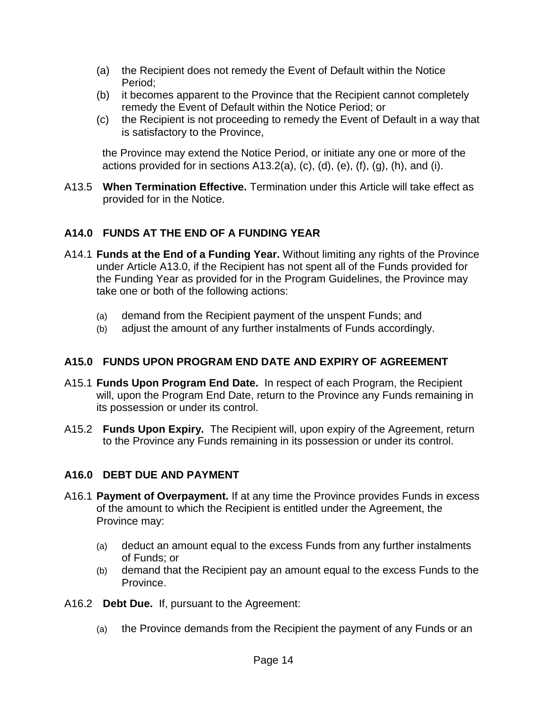- (a) the Recipient does not remedy the Event of Default within the Notice Period;
- (b) it becomes apparent to the Province that the Recipient cannot completely remedy the Event of Default within the Notice Period; or
- (c) the Recipient is not proceeding to remedy the Event of Default in a way that is satisfactory to the Province,

the Province may extend the Notice Period, or initiate any one or more of the actions provided for in sections  $A13.2(a)$ , (c), (d), (e), (f), (g), (h), and (i).

A13.5 **When Termination Effective.** Termination under this Article will take effect as provided for in the Notice.

# **A14.0 FUNDS AT THE END OF A FUNDING YEAR**

- A14.1 **Funds at the End of a Funding Year.** Without limiting any rights of the Province under Article A13.0, if the Recipient has not spent all of the Funds provided for the Funding Year as provided for in the Program Guidelines, the Province may take one or both of the following actions:
	- (a) demand from the Recipient payment of the unspent Funds; and
	- (b) adjust the amount of any further instalments of Funds accordingly.

## **A15.0 FUNDS UPON PROGRAM END DATE AND EXPIRY OF AGREEMENT**

- A15.1 **Funds Upon Program End Date.** In respect of each Program, the Recipient will, upon the Program End Date, return to the Province any Funds remaining in its possession or under its control.
- A15.2 **Funds Upon Expiry.** The Recipient will, upon expiry of the Agreement, return to the Province any Funds remaining in its possession or under its control.

## **A16.0 DEBT DUE AND PAYMENT**

- A16.1 **Payment of Overpayment.** If at any time the Province provides Funds in excess of the amount to which the Recipient is entitled under the Agreement, the Province may:
	- (a) deduct an amount equal to the excess Funds from any further instalments of Funds; or
	- (b) demand that the Recipient pay an amount equal to the excess Funds to the Province.
- A16.2 **Debt Due.** If, pursuant to the Agreement:
	- (a) the Province demands from the Recipient the payment of any Funds or an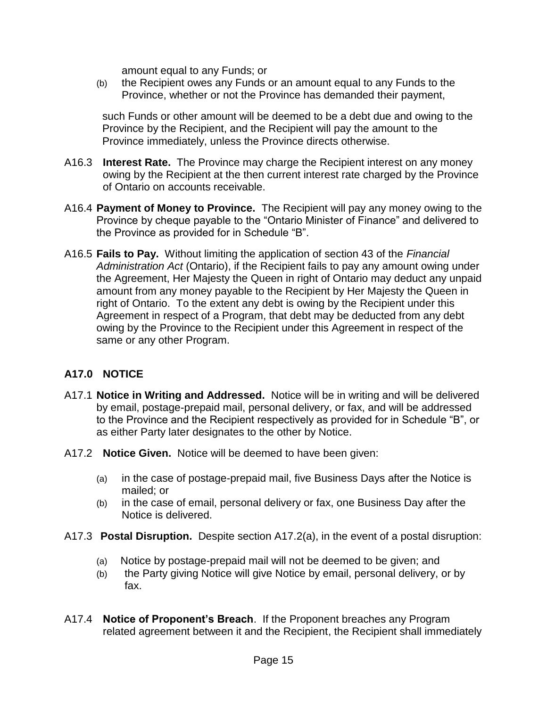amount equal to any Funds; or

(b) the Recipient owes any Funds or an amount equal to any Funds to the Province, whether or not the Province has demanded their payment,

such Funds or other amount will be deemed to be a debt due and owing to the Province by the Recipient, and the Recipient will pay the amount to the Province immediately, unless the Province directs otherwise.

- A16.3 **Interest Rate.** The Province may charge the Recipient interest on any money owing by the Recipient at the then current interest rate charged by the Province of Ontario on accounts receivable.
- A16.4 **Payment of Money to Province.** The Recipient will pay any money owing to the Province by cheque payable to the "Ontario Minister of Finance" and delivered to the Province as provided for in Schedule "B".
- A16.5 **Fails to Pay.** Without limiting the application of section 43 of the *Financial Administration Act* (Ontario), if the Recipient fails to pay any amount owing under the Agreement, Her Majesty the Queen in right of Ontario may deduct any unpaid amount from any money payable to the Recipient by Her Majesty the Queen in right of Ontario. To the extent any debt is owing by the Recipient under this Agreement in respect of a Program, that debt may be deducted from any debt owing by the Province to the Recipient under this Agreement in respect of the same or any other Program.

# **A17.0 NOTICE**

- A17.1 **Notice in Writing and Addressed.** Notice will be in writing and will be delivered by email, postage-prepaid mail, personal delivery, or fax, and will be addressed to the Province and the Recipient respectively as provided for in Schedule "B", or as either Party later designates to the other by Notice.
- A17.2 **Notice Given.** Notice will be deemed to have been given:
	- (a) in the case of postage-prepaid mail, five Business Days after the Notice is mailed; or
	- (b) in the case of email, personal delivery or fax, one Business Day after the Notice is delivered.
- A17.3 **Postal Disruption.** Despite section A17.2(a), in the event of a postal disruption:
	- (a) Notice by postage-prepaid mail will not be deemed to be given; and
	- (b) the Party giving Notice will give Notice by email, personal delivery, or by fax.
- A17.4 **Notice of Proponent's Breach**. If the Proponent breaches any Program related agreement between it and the Recipient, the Recipient shall immediately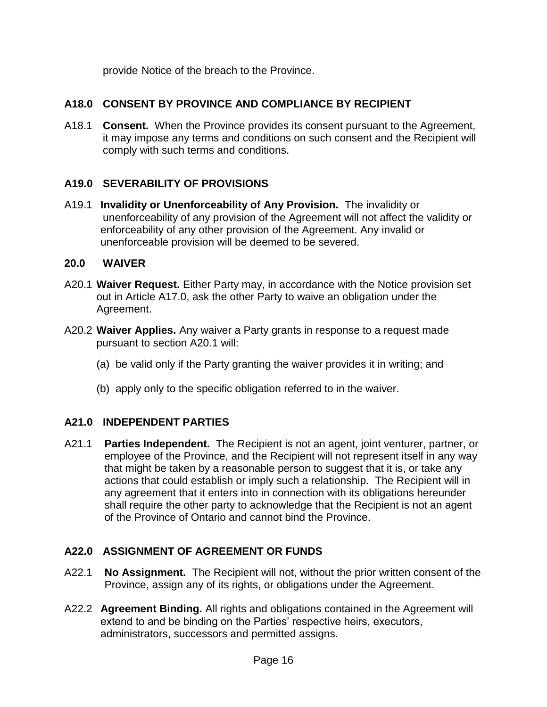provide Notice of the breach to the Province.

# **A18.0 CONSENT BY PROVINCE AND COMPLIANCE BY RECIPIENT**

A18.1 **Consent.** When the Province provides its consent pursuant to the Agreement, it may impose any terms and conditions on such consent and the Recipient will comply with such terms and conditions.

# **A19.0 SEVERABILITY OF PROVISIONS**

A19.1 **Invalidity or Unenforceability of Any Provision.** The invalidity or unenforceability of any provision of the Agreement will not affect the validity or enforceability of any other provision of the Agreement. Any invalid or unenforceable provision will be deemed to be severed.

#### **20.0 WAIVER**

- A20.1 **Waiver Request.** Either Party may, in accordance with the Notice provision set out in Article A17.0, ask the other Party to waive an obligation under the Agreement.
- A20.2 **Waiver Applies.** Any waiver a Party grants in response to a request made pursuant to section A20.1 will:
	- (a) be valid only if the Party granting the waiver provides it in writing; and
	- (b) apply only to the specific obligation referred to in the waiver.

## **A21.0 INDEPENDENT PARTIES**

A21.1 **Parties Independent.** The Recipient is not an agent, joint venturer, partner, or employee of the Province, and the Recipient will not represent itself in any way that might be taken by a reasonable person to suggest that it is, or take any actions that could establish or imply such a relationship. The Recipient will in any agreement that it enters into in connection with its obligations hereunder shall require the other party to acknowledge that the Recipient is not an agent of the Province of Ontario and cannot bind the Province.

## **A22.0 ASSIGNMENT OF AGREEMENT OR FUNDS**

- A22.1 **No Assignment.** The Recipient will not, without the prior written consent of the Province, assign any of its rights, or obligations under the Agreement.
- A22.2 **Agreement Binding.** All rights and obligations contained in the Agreement will extend to and be binding on the Parties' respective heirs, executors, administrators, successors and permitted assigns.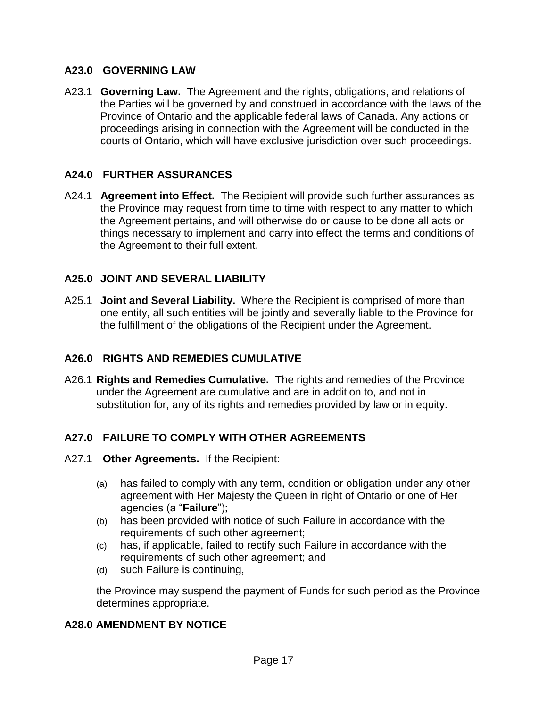## **A23.0 GOVERNING LAW**

A23.1 **Governing Law.** The Agreement and the rights, obligations, and relations of the Parties will be governed by and construed in accordance with the laws of the Province of Ontario and the applicable federal laws of Canada. Any actions or proceedings arising in connection with the Agreement will be conducted in the courts of Ontario, which will have exclusive jurisdiction over such proceedings.

## **A24.0 FURTHER ASSURANCES**

A24.1 **Agreement into Effect.** The Recipient will provide such further assurances as the Province may request from time to time with respect to any matter to which the Agreement pertains, and will otherwise do or cause to be done all acts or things necessary to implement and carry into effect the terms and conditions of the Agreement to their full extent.

#### **A25.0 JOINT AND SEVERAL LIABILITY**

A25.1 **Joint and Several Liability.** Where the Recipient is comprised of more than one entity, all such entities will be jointly and severally liable to the Province for the fulfillment of the obligations of the Recipient under the Agreement.

## **A26.0 RIGHTS AND REMEDIES CUMULATIVE**

A26.1 **Rights and Remedies Cumulative.** The rights and remedies of the Province under the Agreement are cumulative and are in addition to, and not in substitution for, any of its rights and remedies provided by law or in equity.

#### **A27.0 FAILURE TO COMPLY WITH OTHER AGREEMENTS**

- A27.1 **Other Agreements.** If the Recipient:
	- (a) has failed to comply with any term, condition or obligation under any other agreement with Her Majesty the Queen in right of Ontario or one of Her agencies (a "**Failure**");
	- (b) has been provided with notice of such Failure in accordance with the requirements of such other agreement;
	- (c) has, if applicable, failed to rectify such Failure in accordance with the requirements of such other agreement; and
	- (d) such Failure is continuing,

the Province may suspend the payment of Funds for such period as the Province determines appropriate.

#### **A28.0 AMENDMENT BY NOTICE**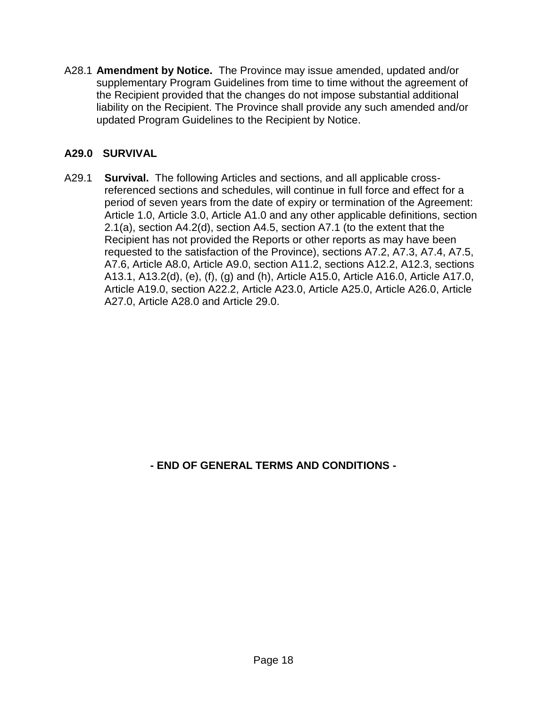A28.1 **Amendment by Notice.** The Province may issue amended, updated and/or supplementary Program Guidelines from time to time without the agreement of the Recipient provided that the changes do not impose substantial additional liability on the Recipient. The Province shall provide any such amended and/or updated Program Guidelines to the Recipient by Notice.

# **A29.0 SURVIVAL**

A29.1 **Survival.** The following Articles and sections, and all applicable crossreferenced sections and schedules, will continue in full force and effect for a period of seven years from the date of expiry or termination of the Agreement: Article 1.0, Article 3.0, Article A1.0 and any other applicable definitions, section 2.1(a), section A4.2(d), section A4.5, section A7.1 (to the extent that the Recipient has not provided the Reports or other reports as may have been requested to the satisfaction of the Province), sections A7.2, A7.3, A7.4, A7.5, A7.6, Article A8.0, Article A9.0, section A11.2, sections A12.2, A12.3, sections A13.1, A13.2(d), (e), (f), (g) and (h), Article A15.0, Article A16.0, Article A17.0, Article A19.0, section A22.2, Article A23.0, Article A25.0, Article A26.0, Article A27.0, Article A28.0 and Article 29.0.

**- END OF GENERAL TERMS AND CONDITIONS -**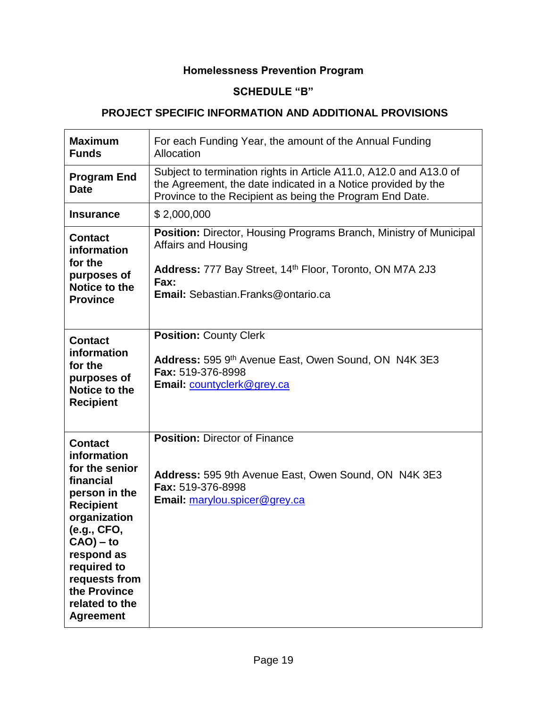# **Homelessness Prevention Program**

# **SCHEDULE "B"**

## **PROJECT SPECIFIC INFORMATION AND ADDITIONAL PROVISIONS**

| <b>Maximum</b><br><b>Funds</b>                                                                                                                                                                                                                       | For each Funding Year, the amount of the Annual Funding<br>Allocation                                                                                                                                      |
|------------------------------------------------------------------------------------------------------------------------------------------------------------------------------------------------------------------------------------------------------|------------------------------------------------------------------------------------------------------------------------------------------------------------------------------------------------------------|
| <b>Program End</b><br><b>Date</b>                                                                                                                                                                                                                    | Subject to termination rights in Article A11.0, A12.0 and A13.0 of<br>the Agreement, the date indicated in a Notice provided by the<br>Province to the Recipient as being the Program End Date.            |
| <b>Insurance</b>                                                                                                                                                                                                                                     | \$2,000,000                                                                                                                                                                                                |
| <b>Contact</b><br>information<br>for the<br>purposes of<br>Notice to the<br><b>Province</b>                                                                                                                                                          | <b>Position:</b> Director, Housing Programs Branch, Ministry of Municipal<br>Affairs and Housing<br>Address: 777 Bay Street, 14th Floor, Toronto, ON M7A 2J3<br>Fax:<br>Email: Sebastian.Franks@ontario.ca |
| <b>Contact</b><br>information<br>for the<br>purposes of<br>Notice to the<br><b>Recipient</b>                                                                                                                                                         | <b>Position: County Clerk</b><br>Address: 595 9th Avenue East, Owen Sound, ON N4K 3E3<br>Fax: 519-376-8998<br>Email: countyclerk@grey.ca                                                                   |
| <b>Contact</b><br>information<br>for the senior<br>financial<br>person in the<br><b>Recipient</b><br>organization<br>(e.g., CFO,<br>$CAO$ ) – to<br>respond as<br>required to<br>requests from<br>the Province<br>related to the<br><b>Agreement</b> | <b>Position: Director of Finance</b><br>Address: 595 9th Avenue East, Owen Sound, ON N4K 3E3<br>Fax: 519-376-8998<br>Email: marylou.spicer@grey.ca                                                         |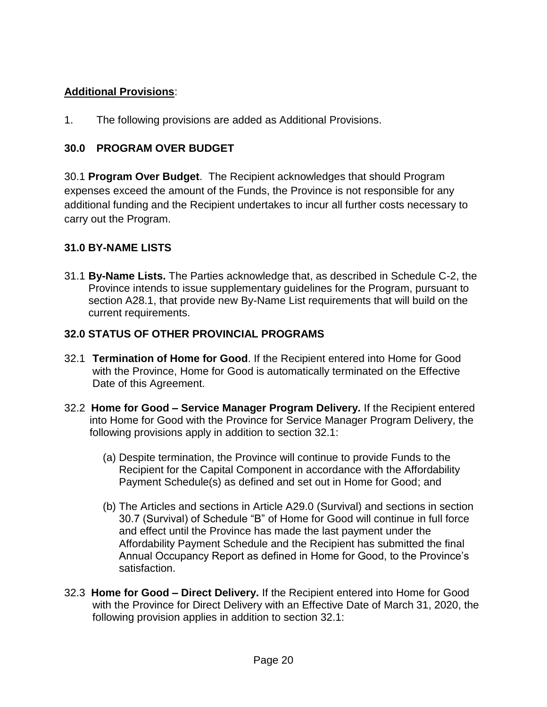# **Additional Provisions**:

1. The following provisions are added as Additional Provisions.

# **30.0 PROGRAM OVER BUDGET**

30.1 **Program Over Budget**. The Recipient acknowledges that should Program expenses exceed the amount of the Funds, the Province is not responsible for any additional funding and the Recipient undertakes to incur all further costs necessary to carry out the Program.

# **31.0 BY-NAME LISTS**

31.1 **By-Name Lists.** The Parties acknowledge that, as described in Schedule C-2, the Province intends to issue supplementary guidelines for the Program, pursuant to section A28.1, that provide new By-Name List requirements that will build on the current requirements.

# **32.0 STATUS OF OTHER PROVINCIAL PROGRAMS**

- 32.1 **Termination of Home for Good**. If the Recipient entered into Home for Good with the Province, Home for Good is automatically terminated on the Effective Date of this Agreement.
- 32.2 **Home for Good – Service Manager Program Delivery.** If the Recipient entered into Home for Good with the Province for Service Manager Program Delivery, the following provisions apply in addition to section 32.1:
	- (a) Despite termination, the Province will continue to provide Funds to the Recipient for the Capital Component in accordance with the Affordability Payment Schedule(s) as defined and set out in Home for Good; and
	- (b) The Articles and sections in Article A29.0 (Survival) and sections in section 30.7 (Survival) of Schedule "B" of Home for Good will continue in full force and effect until the Province has made the last payment under the Affordability Payment Schedule and the Recipient has submitted the final Annual Occupancy Report as defined in Home for Good, to the Province's satisfaction.
- 32.3 **Home for Good – Direct Delivery.** If the Recipient entered into Home for Good with the Province for Direct Delivery with an Effective Date of March 31, 2020, the following provision applies in addition to section 32.1: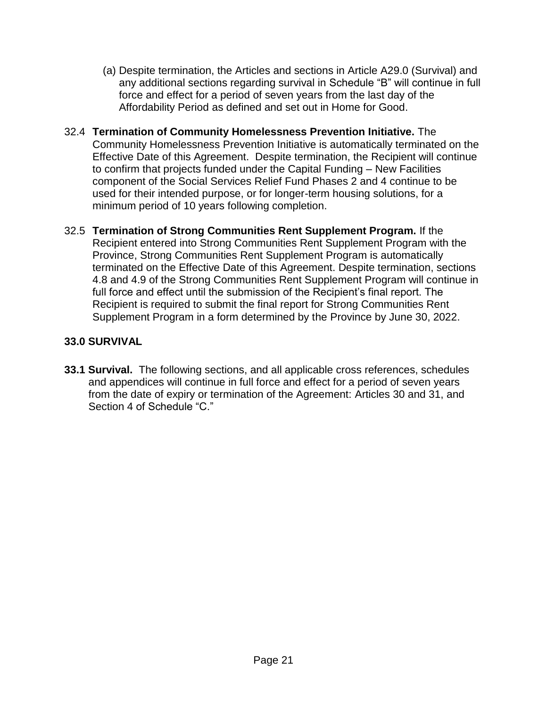- (a) Despite termination, the Articles and sections in Article A29.0 (Survival) and any additional sections regarding survival in Schedule "B" will continue in full force and effect for a period of seven years from the last day of the Affordability Period as defined and set out in Home for Good.
- 32.4 **Termination of Community Homelessness Prevention Initiative.** The Community Homelessness Prevention Initiative is automatically terminated on the Effective Date of this Agreement. Despite termination, the Recipient will continue to confirm that projects funded under the Capital Funding – New Facilities component of the Social Services Relief Fund Phases 2 and 4 continue to be used for their intended purpose, or for longer-term housing solutions, for a minimum period of 10 years following completion.
- 32.5 **Termination of Strong Communities Rent Supplement Program.** If the Recipient entered into Strong Communities Rent Supplement Program with the Province, Strong Communities Rent Supplement Program is automatically terminated on the Effective Date of this Agreement. Despite termination, sections 4.8 and 4.9 of the Strong Communities Rent Supplement Program will continue in full force and effect until the submission of the Recipient's final report. The Recipient is required to submit the final report for Strong Communities Rent Supplement Program in a form determined by the Province by June 30, 2022.

# **33.0 SURVIVAL**

**33.1 Survival.** The following sections, and all applicable cross references, schedules and appendices will continue in full force and effect for a period of seven years from the date of expiry or termination of the Agreement: Articles 30 and 31, and Section 4 of Schedule "C."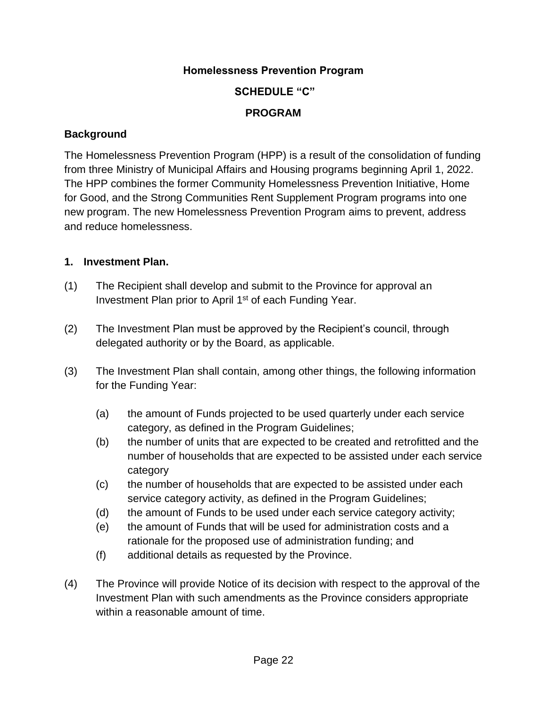## **Homelessness Prevention Program**

# **SCHEDULE "C"**

# **PROGRAM**

## **Background**

The Homelessness Prevention Program (HPP) is a result of the consolidation of funding from three Ministry of Municipal Affairs and Housing programs beginning April 1, 2022. The HPP combines the former Community Homelessness Prevention Initiative, Home for Good, and the Strong Communities Rent Supplement Program programs into one new program. The new Homelessness Prevention Program aims to prevent, address and reduce homelessness.

#### **1. Investment Plan.**

- (1) The Recipient shall develop and submit to the Province for approval an Investment Plan prior to April 1<sup>st</sup> of each Funding Year.
- (2) The Investment Plan must be approved by the Recipient's council, through delegated authority or by the Board, as applicable.
- (3) The Investment Plan shall contain, among other things, the following information for the Funding Year:
	- (a) the amount of Funds projected to be used quarterly under each service category, as defined in the Program Guidelines;
	- (b) the number of units that are expected to be created and retrofitted and the number of households that are expected to be assisted under each service category
	- (c) the number of households that are expected to be assisted under each service category activity, as defined in the Program Guidelines;
	- (d) the amount of Funds to be used under each service category activity;
	- (e) the amount of Funds that will be used for administration costs and a rationale for the proposed use of administration funding; and
	- (f) additional details as requested by the Province.
- (4) The Province will provide Notice of its decision with respect to the approval of the Investment Plan with such amendments as the Province considers appropriate within a reasonable amount of time.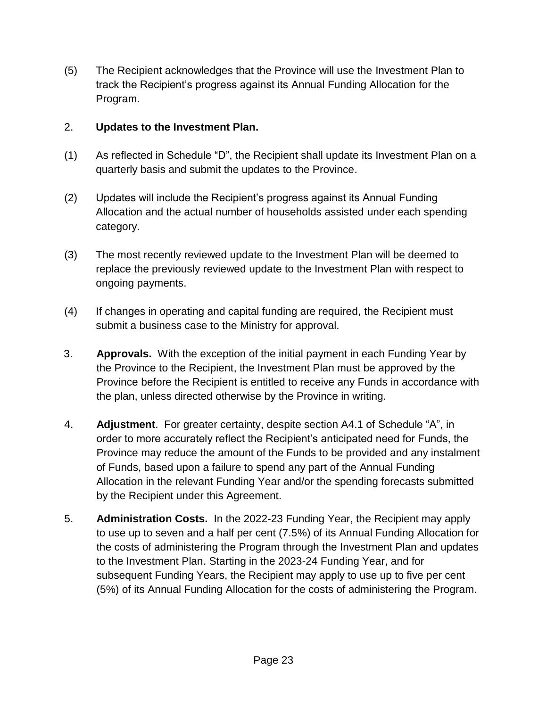(5) The Recipient acknowledges that the Province will use the Investment Plan to track the Recipient's progress against its Annual Funding Allocation for the Program.

# 2. **Updates to the Investment Plan.**

- (1) As reflected in Schedule "D", the Recipient shall update its Investment Plan on a quarterly basis and submit the updates to the Province.
- (2) Updates will include the Recipient's progress against its Annual Funding Allocation and the actual number of households assisted under each spending category.
- (3) The most recently reviewed update to the Investment Plan will be deemed to replace the previously reviewed update to the Investment Plan with respect to ongoing payments.
- (4) If changes in operating and capital funding are required, the Recipient must submit a business case to the Ministry for approval.
- 3. **Approvals.** With the exception of the initial payment in each Funding Year by the Province to the Recipient, the Investment Plan must be approved by the Province before the Recipient is entitled to receive any Funds in accordance with the plan, unless directed otherwise by the Province in writing.
- 4. **Adjustment**. For greater certainty, despite section A4.1 of Schedule "A", in order to more accurately reflect the Recipient's anticipated need for Funds, the Province may reduce the amount of the Funds to be provided and any instalment of Funds, based upon a failure to spend any part of the Annual Funding Allocation in the relevant Funding Year and/or the spending forecasts submitted by the Recipient under this Agreement.
- 5. **Administration Costs.** In the 2022-23 Funding Year, the Recipient may apply to use up to seven and a half per cent (7.5%) of its Annual Funding Allocation for the costs of administering the Program through the Investment Plan and updates to the Investment Plan. Starting in the 2023-24 Funding Year, and for subsequent Funding Years, the Recipient may apply to use up to five per cent (5%) of its Annual Funding Allocation for the costs of administering the Program.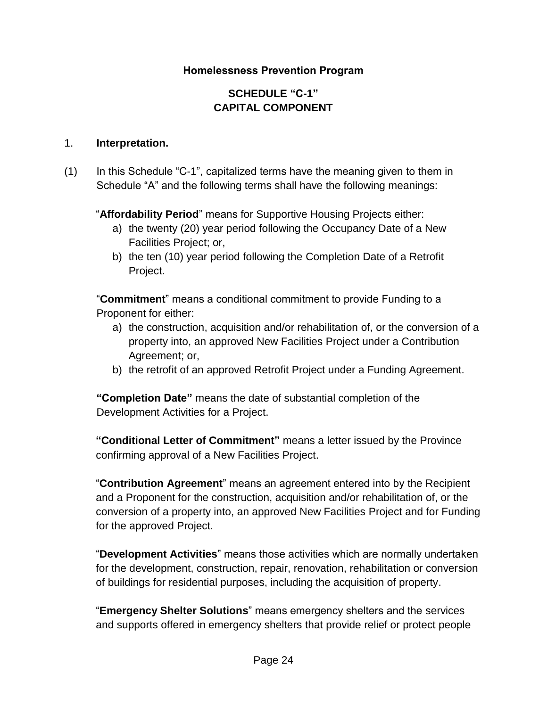# **Homelessness Prevention Program**

# **SCHEDULE "C-1" CAPITAL COMPONENT**

#### 1. **Interpretation.**

(1) In this Schedule "C-1", capitalized terms have the meaning given to them in Schedule "A" and the following terms shall have the following meanings:

"**Affordability Period**" means for Supportive Housing Projects either:

- a) the twenty (20) year period following the Occupancy Date of a New Facilities Project; or,
- b) the ten (10) year period following the Completion Date of a Retrofit Project.

"**Commitment**" means a conditional commitment to provide Funding to a Proponent for either:

- a) the construction, acquisition and/or rehabilitation of, or the conversion of a property into, an approved New Facilities Project under a Contribution Agreement; or,
- b) the retrofit of an approved Retrofit Project under a Funding Agreement.

**"Completion Date"** means the date of substantial completion of the Development Activities for a Project.

**"Conditional Letter of Commitment"** means a letter issued by the Province confirming approval of a New Facilities Project.

"**Contribution Agreement**" means an agreement entered into by the Recipient and a Proponent for the construction, acquisition and/or rehabilitation of, or the conversion of a property into, an approved New Facilities Project and for Funding for the approved Project.

"**Development Activities**" means those activities which are normally undertaken for the development, construction, repair, renovation, rehabilitation or conversion of buildings for residential purposes, including the acquisition of property.

"**Emergency Shelter Solutions**" means emergency shelters and the services and supports offered in emergency shelters that provide relief or protect people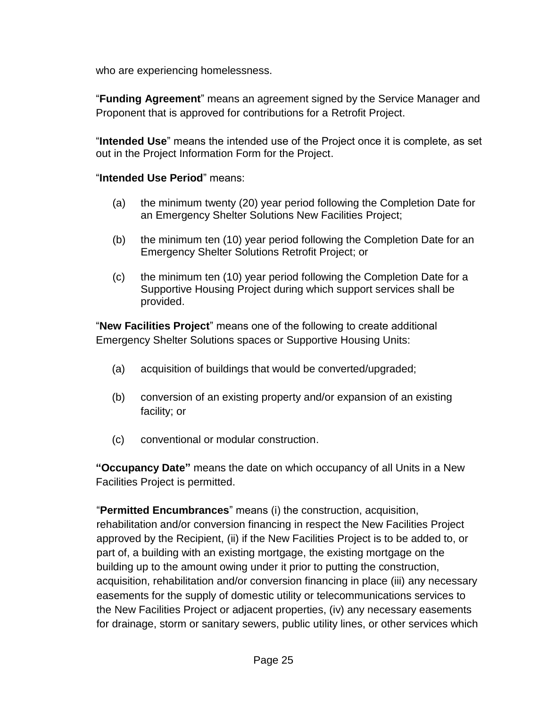who are experiencing homelessness.

"**Funding Agreement**" means an agreement signed by the Service Manager and Proponent that is approved for contributions for a Retrofit Project.

"**Intended Use**" means the intended use of the Project once it is complete, as set out in the Project Information Form for the Project.

## "**Intended Use Period**" means:

- (a) the minimum twenty (20) year period following the Completion Date for an Emergency Shelter Solutions New Facilities Project;
- (b) the minimum ten (10) year period following the Completion Date for an Emergency Shelter Solutions Retrofit Project; or
- (c) the minimum ten (10) year period following the Completion Date for a Supportive Housing Project during which support services shall be provided.

"**New Facilities Project**" means one of the following to create additional Emergency Shelter Solutions spaces or Supportive Housing Units:

- (a) acquisition of buildings that would be converted/upgraded;
- (b) conversion of an existing property and/or expansion of an existing facility; or
- (c) conventional or modular construction.

**"Occupancy Date"** means the date on which occupancy of all Units in a New Facilities Project is permitted.

"**Permitted Encumbrances**" means (i) the construction, acquisition, rehabilitation and/or conversion financing in respect the New Facilities Project approved by the Recipient, (ii) if the New Facilities Project is to be added to, or part of, a building with an existing mortgage, the existing mortgage on the building up to the amount owing under it prior to putting the construction, acquisition, rehabilitation and/or conversion financing in place (iii) any necessary easements for the supply of domestic utility or telecommunications services to the New Facilities Project or adjacent properties, (iv) any necessary easements for drainage, storm or sanitary sewers, public utility lines, or other services which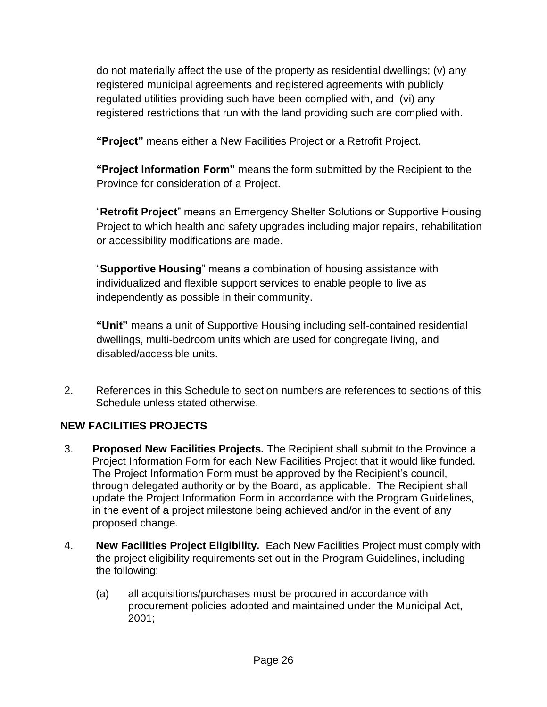do not materially affect the use of the property as residential dwellings; (v) any registered municipal agreements and registered agreements with publicly regulated utilities providing such have been complied with, and (vi) any registered restrictions that run with the land providing such are complied with.

**"Project"** means either a New Facilities Project or a Retrofit Project.

**"Project Information Form"** means the form submitted by the Recipient to the Province for consideration of a Project.

"**Retrofit Project**" means an Emergency Shelter Solutions or Supportive Housing Project to which health and safety upgrades including major repairs, rehabilitation or accessibility modifications are made.

"**Supportive Housing**" means a combination of housing assistance with individualized and flexible support services to enable people to live as independently as possible in their community.

**"Unit"** means a unit of Supportive Housing including self-contained residential dwellings, multi-bedroom units which are used for congregate living, and disabled/accessible units.

2. References in this Schedule to section numbers are references to sections of this Schedule unless stated otherwise.

# **NEW FACILITIES PROJECTS**

- 3. **Proposed New Facilities Projects.** The Recipient shall submit to the Province a Project Information Form for each New Facilities Project that it would like funded. The Project Information Form must be approved by the Recipient's council, through delegated authority or by the Board, as applicable. The Recipient shall update the Project Information Form in accordance with the Program Guidelines, in the event of a project milestone being achieved and/or in the event of any proposed change.
- 4. **New Facilities Project Eligibility.** Each New Facilities Project must comply with the project eligibility requirements set out in the Program Guidelines, including the following:
	- (a) all acquisitions/purchases must be procured in accordance with procurement policies adopted and maintained under the Municipal Act, 2001;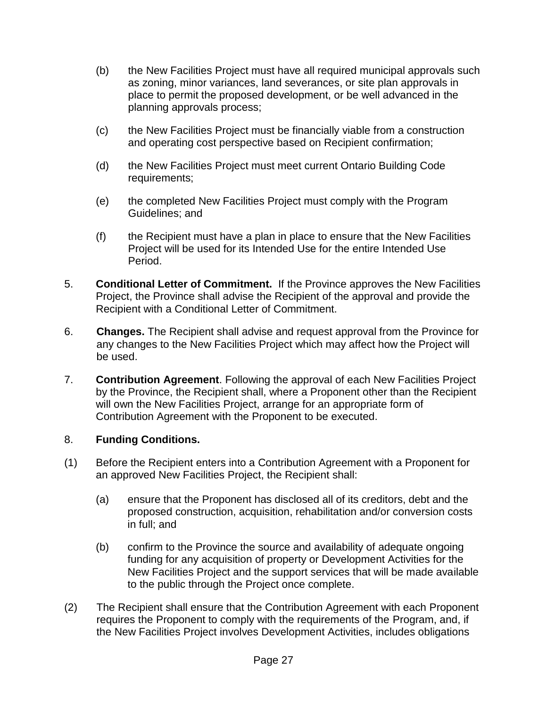- (b) the New Facilities Project must have all required municipal approvals such as zoning, minor variances, land severances, or site plan approvals in place to permit the proposed development, or be well advanced in the planning approvals process;
- (c) the New Facilities Project must be financially viable from a construction and operating cost perspective based on Recipient confirmation;
- (d) the New Facilities Project must meet current Ontario Building Code requirements;
- (e) the completed New Facilities Project must comply with the Program Guidelines; and
- (f) the Recipient must have a plan in place to ensure that the New Facilities Project will be used for its Intended Use for the entire Intended Use Period.
- 5. **Conditional Letter of Commitment.** If the Province approves the New Facilities Project, the Province shall advise the Recipient of the approval and provide the Recipient with a Conditional Letter of Commitment.
- 6. **Changes.** The Recipient shall advise and request approval from the Province for any changes to the New Facilities Project which may affect how the Project will be used.
- 7. **Contribution Agreement**. Following the approval of each New Facilities Project by the Province, the Recipient shall, where a Proponent other than the Recipient will own the New Facilities Project, arrange for an appropriate form of Contribution Agreement with the Proponent to be executed.

## 8. **Funding Conditions.**

- (1) Before the Recipient enters into a Contribution Agreement with a Proponent for an approved New Facilities Project, the Recipient shall:
	- (a) ensure that the Proponent has disclosed all of its creditors, debt and the proposed construction, acquisition, rehabilitation and/or conversion costs in full; and
	- (b) confirm to the Province the source and availability of adequate ongoing funding for any acquisition of property or Development Activities for the New Facilities Project and the support services that will be made available to the public through the Project once complete.
- (2) The Recipient shall ensure that the Contribution Agreement with each Proponent requires the Proponent to comply with the requirements of the Program, and, if the New Facilities Project involves Development Activities, includes obligations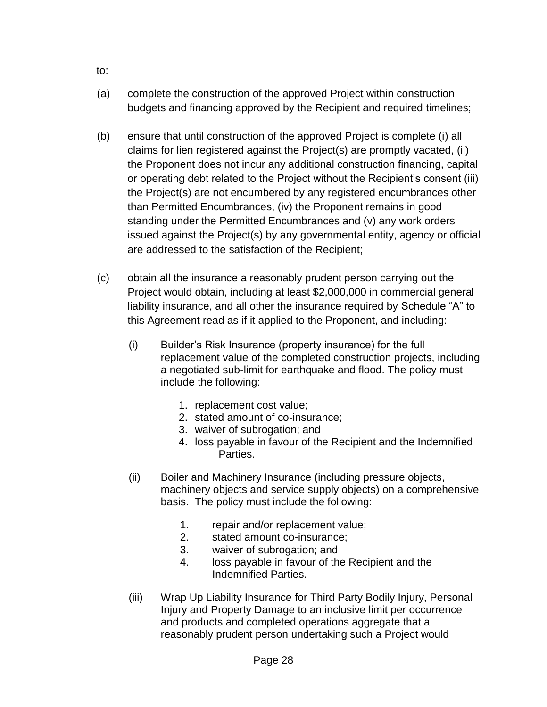- (a) complete the construction of the approved Project within construction budgets and financing approved by the Recipient and required timelines;
- (b) ensure that until construction of the approved Project is complete (i) all claims for lien registered against the Project(s) are promptly vacated, (ii) the Proponent does not incur any additional construction financing, capital or operating debt related to the Project without the Recipient's consent (iii) the Project(s) are not encumbered by any registered encumbrances other than Permitted Encumbrances, (iv) the Proponent remains in good standing under the Permitted Encumbrances and (v) any work orders issued against the Project(s) by any governmental entity, agency or official are addressed to the satisfaction of the Recipient;
- (c) obtain all the insurance a reasonably prudent person carrying out the Project would obtain, including at least \$2,000,000 in commercial general liability insurance, and all other the insurance required by Schedule "A" to this Agreement read as if it applied to the Proponent, and including:
	- (i) Builder's Risk Insurance (property insurance) for the full replacement value of the completed construction projects, including a negotiated sub-limit for earthquake and flood. The policy must include the following:
		- 1. replacement cost value;
		- 2. stated amount of co-insurance;
		- 3. waiver of subrogation; and
		- 4. loss payable in favour of the Recipient and the Indemnified Parties.
	- (ii) Boiler and Machinery Insurance (including pressure objects, machinery objects and service supply objects) on a comprehensive basis. The policy must include the following:
		- 1. repair and/or replacement value;
		- 2. stated amount co-insurance;
		- 3. waiver of subrogation; and
		- 4. loss payable in favour of the Recipient and the Indemnified Parties.
	- (iii) Wrap Up Liability Insurance for Third Party Bodily Injury, Personal Injury and Property Damage to an inclusive limit per occurrence and products and completed operations aggregate that a reasonably prudent person undertaking such a Project would

to: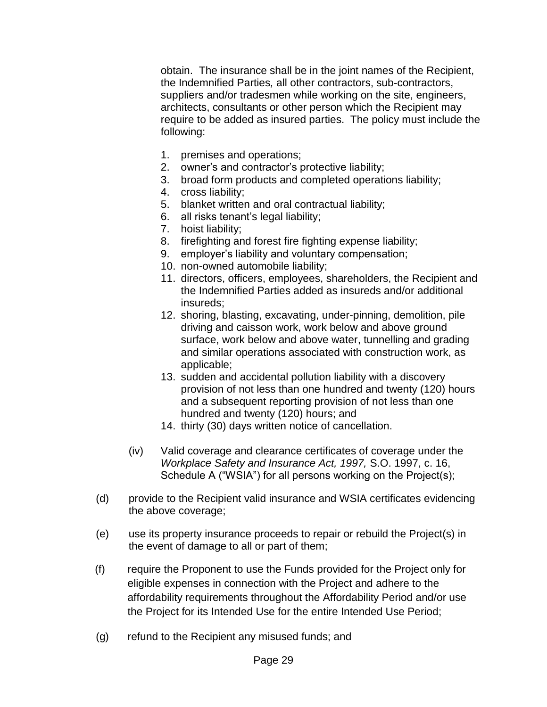obtain. The insurance shall be in the joint names of the Recipient, the Indemnified Parties*,* all other contractors, sub-contractors, suppliers and/or tradesmen while working on the site, engineers, architects, consultants or other person which the Recipient may require to be added as insured parties. The policy must include the following:

- 1. premises and operations;
- 2. owner's and contractor's protective liability;
- 3. broad form products and completed operations liability;
- 4. cross liability;
- 5. blanket written and oral contractual liability;
- 6. all risks tenant's legal liability;
- 7. hoist liability;
- 8. firefighting and forest fire fighting expense liability;
- 9. employer's liability and voluntary compensation;
- 10. non-owned automobile liability;
- 11. directors, officers, employees, shareholders, the Recipient and the Indemnified Parties added as insureds and/or additional insureds;
- 12. shoring, blasting, excavating, under-pinning, demolition, pile driving and caisson work, work below and above ground surface, work below and above water, tunnelling and grading and similar operations associated with construction work, as applicable;
- 13. sudden and accidental pollution liability with a discovery provision of not less than one hundred and twenty (120) hours and a subsequent reporting provision of not less than one hundred and twenty (120) hours; and
- 14. thirty (30) days written notice of cancellation.
- (iv) Valid coverage and clearance certificates of coverage under the *Workplace Safety and Insurance Act, 1997,* S.O. 1997, c. 16, Schedule A ("WSIA") for all persons working on the Project(s);
- (d) provide to the Recipient valid insurance and WSIA certificates evidencing the above coverage;
- (e) use its property insurance proceeds to repair or rebuild the Project(s) in the event of damage to all or part of them;
- (f) require the Proponent to use the Funds provided for the Project only for eligible expenses in connection with the Project and adhere to the affordability requirements throughout the Affordability Period and/or use the Project for its Intended Use for the entire Intended Use Period;
- (g) refund to the Recipient any misused funds; and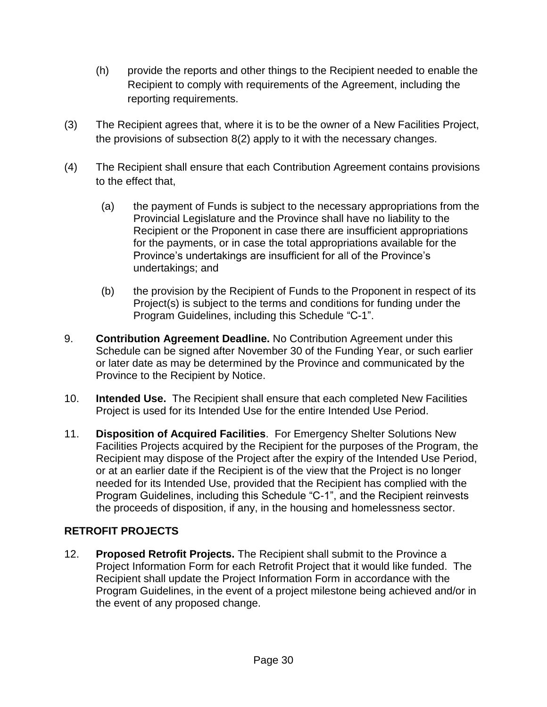- (h) provide the reports and other things to the Recipient needed to enable the Recipient to comply with requirements of the Agreement, including the reporting requirements.
- (3) The Recipient agrees that, where it is to be the owner of a New Facilities Project, the provisions of subsection 8(2) apply to it with the necessary changes.
- (4) The Recipient shall ensure that each Contribution Agreement contains provisions to the effect that,
	- (a) the payment of Funds is subject to the necessary appropriations from the Provincial Legislature and the Province shall have no liability to the Recipient or the Proponent in case there are insufficient appropriations for the payments, or in case the total appropriations available for the Province's undertakings are insufficient for all of the Province's undertakings; and
	- (b) the provision by the Recipient of Funds to the Proponent in respect of its Project(s) is subject to the terms and conditions for funding under the Program Guidelines, including this Schedule "C-1".
- 9. **Contribution Agreement Deadline.** No Contribution Agreement under this Schedule can be signed after November 30 of the Funding Year, or such earlier or later date as may be determined by the Province and communicated by the Province to the Recipient by Notice.
- 10. **Intended Use.** The Recipient shall ensure that each completed New Facilities Project is used for its Intended Use for the entire Intended Use Period.
- 11. **Disposition of Acquired Facilities**. For Emergency Shelter Solutions New Facilities Projects acquired by the Recipient for the purposes of the Program, the Recipient may dispose of the Project after the expiry of the Intended Use Period, or at an earlier date if the Recipient is of the view that the Project is no longer needed for its Intended Use, provided that the Recipient has complied with the Program Guidelines, including this Schedule "C-1", and the Recipient reinvests the proceeds of disposition, if any, in the housing and homelessness sector.

# **RETROFIT PROJECTS**

12. **Proposed Retrofit Projects.** The Recipient shall submit to the Province a Project Information Form for each Retrofit Project that it would like funded. The Recipient shall update the Project Information Form in accordance with the Program Guidelines, in the event of a project milestone being achieved and/or in the event of any proposed change.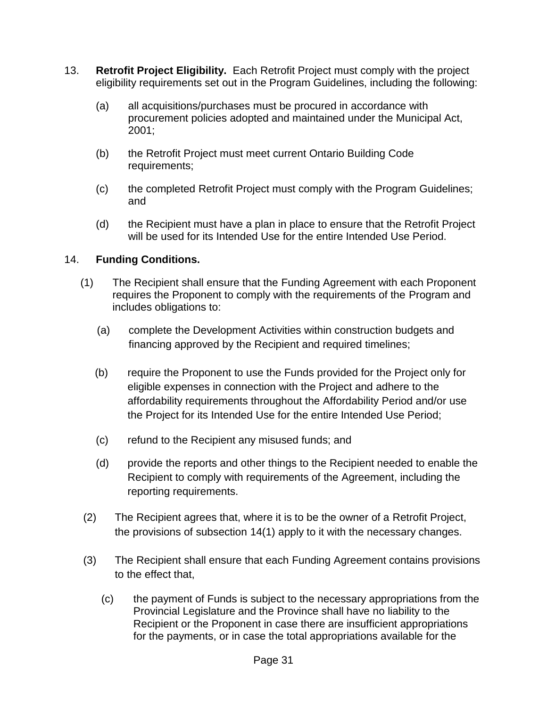- 13. **Retrofit Project Eligibility.** Each Retrofit Project must comply with the project eligibility requirements set out in the Program Guidelines, including the following:
	- (a) all acquisitions/purchases must be procured in accordance with procurement policies adopted and maintained under the Municipal Act, 2001;
	- (b) the Retrofit Project must meet current Ontario Building Code requirements;
	- (c) the completed Retrofit Project must comply with the Program Guidelines; and
	- (d) the Recipient must have a plan in place to ensure that the Retrofit Project will be used for its Intended Use for the entire Intended Use Period.

# 14. **Funding Conditions.**

- (1) The Recipient shall ensure that the Funding Agreement with each Proponent requires the Proponent to comply with the requirements of the Program and includes obligations to:
	- (a) complete the Development Activities within construction budgets and financing approved by the Recipient and required timelines;
	- (b) require the Proponent to use the Funds provided for the Project only for eligible expenses in connection with the Project and adhere to the affordability requirements throughout the Affordability Period and/or use the Project for its Intended Use for the entire Intended Use Period;
	- (c) refund to the Recipient any misused funds; and
	- (d) provide the reports and other things to the Recipient needed to enable the Recipient to comply with requirements of the Agreement, including the reporting requirements.
- (2) The Recipient agrees that, where it is to be the owner of a Retrofit Project, the provisions of subsection 14(1) apply to it with the necessary changes.
- (3) The Recipient shall ensure that each Funding Agreement contains provisions to the effect that,
	- (c) the payment of Funds is subject to the necessary appropriations from the Provincial Legislature and the Province shall have no liability to the Recipient or the Proponent in case there are insufficient appropriations for the payments, or in case the total appropriations available for the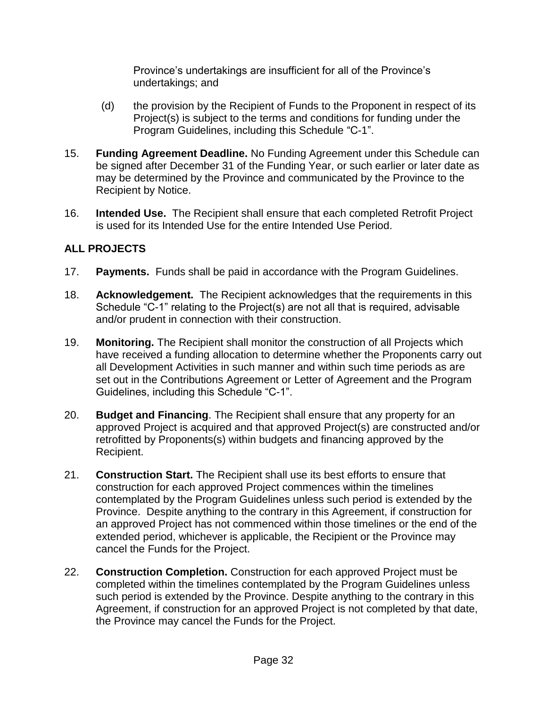Province's undertakings are insufficient for all of the Province's undertakings; and

- (d) the provision by the Recipient of Funds to the Proponent in respect of its Project(s) is subject to the terms and conditions for funding under the Program Guidelines, including this Schedule "C-1".
- 15. **Funding Agreement Deadline.** No Funding Agreement under this Schedule can be signed after December 31 of the Funding Year, or such earlier or later date as may be determined by the Province and communicated by the Province to the Recipient by Notice.
- 16. **Intended Use.** The Recipient shall ensure that each completed Retrofit Project is used for its Intended Use for the entire Intended Use Period.

# **ALL PROJECTS**

- 17. **Payments.** Funds shall be paid in accordance with the Program Guidelines.
- 18. **Acknowledgement.** The Recipient acknowledges that the requirements in this Schedule "C-1" relating to the Project(s) are not all that is required, advisable and/or prudent in connection with their construction.
- 19. **Monitoring.** The Recipient shall monitor the construction of all Projects which have received a funding allocation to determine whether the Proponents carry out all Development Activities in such manner and within such time periods as are set out in the Contributions Agreement or Letter of Agreement and the Program Guidelines, including this Schedule "C-1".
- 20. **Budget and Financing**. The Recipient shall ensure that any property for an approved Project is acquired and that approved Project(s) are constructed and/or retrofitted by Proponents(s) within budgets and financing approved by the Recipient.
- 21. **Construction Start.** The Recipient shall use its best efforts to ensure that construction for each approved Project commences within the timelines contemplated by the Program Guidelines unless such period is extended by the Province. Despite anything to the contrary in this Agreement, if construction for an approved Project has not commenced within those timelines or the end of the extended period, whichever is applicable, the Recipient or the Province may cancel the Funds for the Project.
- 22. **Construction Completion.** Construction for each approved Project must be completed within the timelines contemplated by the Program Guidelines unless such period is extended by the Province. Despite anything to the contrary in this Agreement, if construction for an approved Project is not completed by that date, the Province may cancel the Funds for the Project.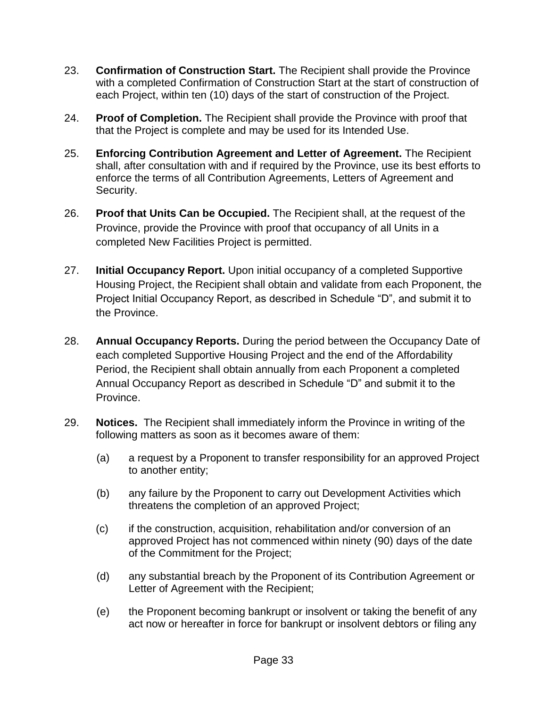- 23. **Confirmation of Construction Start.** The Recipient shall provide the Province with a completed Confirmation of Construction Start at the start of construction of each Project, within ten (10) days of the start of construction of the Project.
- 24. **Proof of Completion.** The Recipient shall provide the Province with proof that that the Project is complete and may be used for its Intended Use.
- 25. **Enforcing Contribution Agreement and Letter of Agreement.** The Recipient shall, after consultation with and if required by the Province, use its best efforts to enforce the terms of all Contribution Agreements, Letters of Agreement and Security.
- 26. **Proof that Units Can be Occupied.** The Recipient shall, at the request of the Province, provide the Province with proof that occupancy of all Units in a completed New Facilities Project is permitted.
- 27. **Initial Occupancy Report.** Upon initial occupancy of a completed Supportive Housing Project, the Recipient shall obtain and validate from each Proponent, the Project Initial Occupancy Report, as described in Schedule "D", and submit it to the Province.
- 28. **Annual Occupancy Reports.** During the period between the Occupancy Date of each completed Supportive Housing Project and the end of the Affordability Period, the Recipient shall obtain annually from each Proponent a completed Annual Occupancy Report as described in Schedule "D" and submit it to the Province.
- 29. **Notices.** The Recipient shall immediately inform the Province in writing of the following matters as soon as it becomes aware of them:
	- (a) a request by a Proponent to transfer responsibility for an approved Project to another entity;
	- (b) any failure by the Proponent to carry out Development Activities which threatens the completion of an approved Project;
	- (c) if the construction, acquisition, rehabilitation and/or conversion of an approved Project has not commenced within ninety (90) days of the date of the Commitment for the Project;
	- (d) any substantial breach by the Proponent of its Contribution Agreement or Letter of Agreement with the Recipient;
	- (e) the Proponent becoming bankrupt or insolvent or taking the benefit of any act now or hereafter in force for bankrupt or insolvent debtors or filing any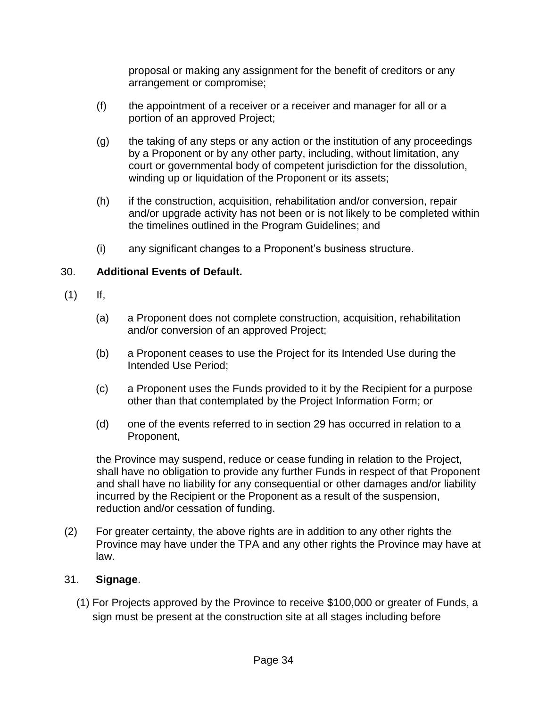proposal or making any assignment for the benefit of creditors or any arrangement or compromise;

- (f) the appointment of a receiver or a receiver and manager for all or a portion of an approved Project;
- (g) the taking of any steps or any action or the institution of any proceedings by a Proponent or by any other party, including, without limitation, any court or governmental body of competent jurisdiction for the dissolution, winding up or liquidation of the Proponent or its assets;
- (h) if the construction, acquisition, rehabilitation and/or conversion, repair and/or upgrade activity has not been or is not likely to be completed within the timelines outlined in the Program Guidelines; and
- (i) any significant changes to a Proponent's business structure.

# 30. **Additional Events of Default.**

- $(1)$  If,
	- (a) a Proponent does not complete construction, acquisition, rehabilitation and/or conversion of an approved Project;
	- (b) a Proponent ceases to use the Project for its Intended Use during the Intended Use Period;
	- (c) a Proponent uses the Funds provided to it by the Recipient for a purpose other than that contemplated by the Project Information Form; or
	- (d) one of the events referred to in section 29 has occurred in relation to a Proponent,

the Province may suspend, reduce or cease funding in relation to the Project, shall have no obligation to provide any further Funds in respect of that Proponent and shall have no liability for any consequential or other damages and/or liability incurred by the Recipient or the Proponent as a result of the suspension, reduction and/or cessation of funding.

(2) For greater certainty, the above rights are in addition to any other rights the Province may have under the TPA and any other rights the Province may have at law.

## 31. **Signage**.

(1) For Projects approved by the Province to receive \$100,000 or greater of Funds, a sign must be present at the construction site at all stages including before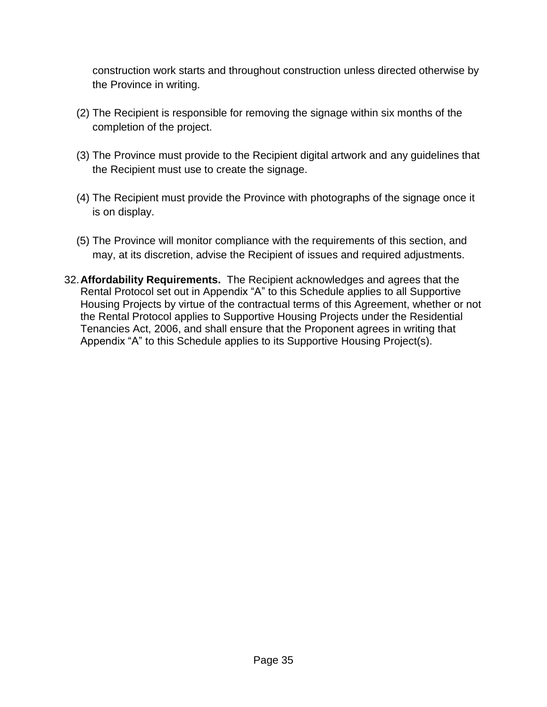construction work starts and throughout construction unless directed otherwise by the Province in writing.

- (2) The Recipient is responsible for removing the signage within six months of the completion of the project.
- (3) The Province must provide to the Recipient digital artwork and any guidelines that the Recipient must use to create the signage.
- (4) The Recipient must provide the Province with photographs of the signage once it is on display.
- (5) The Province will monitor compliance with the requirements of this section, and may, at its discretion, advise the Recipient of issues and required adjustments.
- 32.**Affordability Requirements.** The Recipient acknowledges and agrees that the Rental Protocol set out in Appendix "A" to this Schedule applies to all Supportive Housing Projects by virtue of the contractual terms of this Agreement, whether or not the Rental Protocol applies to Supportive Housing Projects under the Residential Tenancies Act, 2006, and shall ensure that the Proponent agrees in writing that Appendix "A" to this Schedule applies to its Supportive Housing Project(s).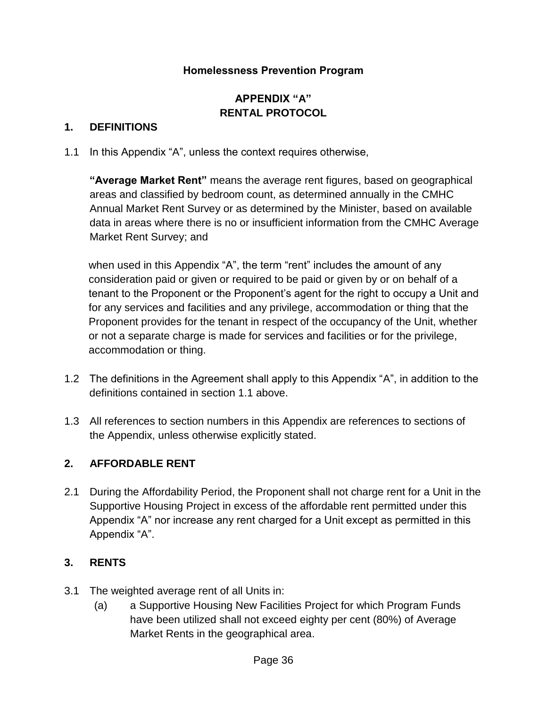## **Homelessness Prevention Program**

# **APPENDIX "A" RENTAL PROTOCOL**

## **1. DEFINITIONS**

1.1 In this Appendix "A", unless the context requires otherwise,

**"Average Market Rent"** means the average rent figures, based on geographical areas and classified by bedroom count, as determined annually in the CMHC Annual Market Rent Survey or as determined by the Minister, based on available data in areas where there is no or insufficient information from the CMHC Average Market Rent Survey; and

when used in this Appendix "A", the term "rent" includes the amount of any consideration paid or given or required to be paid or given by or on behalf of a tenant to the Proponent or the Proponent's agent for the right to occupy a Unit and for any services and facilities and any privilege, accommodation or thing that the Proponent provides for the tenant in respect of the occupancy of the Unit, whether or not a separate charge is made for services and facilities or for the privilege, accommodation or thing.

- 1.2 The definitions in the Agreement shall apply to this Appendix "A", in addition to the definitions contained in section 1.1 above.
- 1.3 All references to section numbers in this Appendix are references to sections of the Appendix, unless otherwise explicitly stated.

## **2. AFFORDABLE RENT**

2.1 During the Affordability Period, the Proponent shall not charge rent for a Unit in the Supportive Housing Project in excess of the affordable rent permitted under this Appendix "A" nor increase any rent charged for a Unit except as permitted in this Appendix "A".

## **3. RENTS**

- 3.1 The weighted average rent of all Units in:
	- (a) a Supportive Housing New Facilities Project for which Program Funds have been utilized shall not exceed eighty per cent (80%) of Average Market Rents in the geographical area.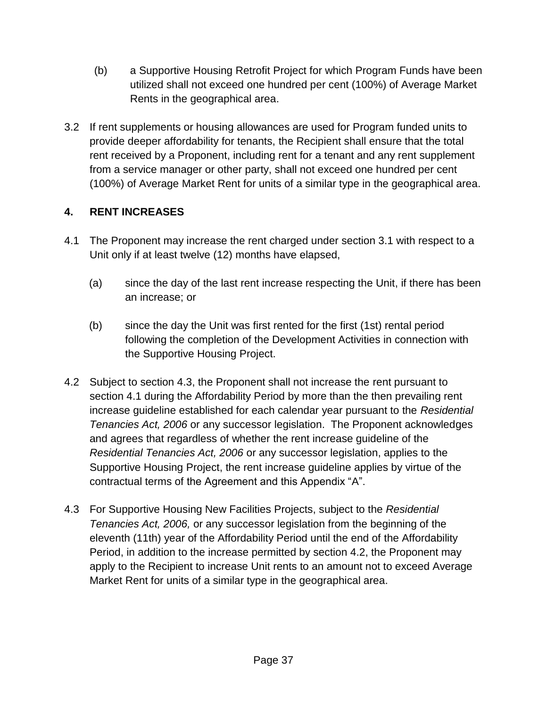- (b) a Supportive Housing Retrofit Project for which Program Funds have been utilized shall not exceed one hundred per cent (100%) of Average Market Rents in the geographical area.
- 3.2 If rent supplements or housing allowances are used for Program funded units to provide deeper affordability for tenants, the Recipient shall ensure that the total rent received by a Proponent, including rent for a tenant and any rent supplement from a service manager or other party, shall not exceed one hundred per cent (100%) of Average Market Rent for units of a similar type in the geographical area.

# **4. RENT INCREASES**

- 4.1 The Proponent may increase the rent charged under section 3.1 with respect to a Unit only if at least twelve (12) months have elapsed,
	- (a) since the day of the last rent increase respecting the Unit, if there has been an increase; or
	- (b) since the day the Unit was first rented for the first (1st) rental period following the completion of the Development Activities in connection with the Supportive Housing Project.
- 4.2 Subject to section 4.3, the Proponent shall not increase the rent pursuant to section 4.1 during the Affordability Period by more than the then prevailing rent increase guideline established for each calendar year pursuant to the *Residential Tenancies Act, 2006* or any successor legislation. The Proponent acknowledges and agrees that regardless of whether the rent increase guideline of the *Residential Tenancies Act, 2006* or any successor legislation, applies to the Supportive Housing Project, the rent increase guideline applies by virtue of the contractual terms of the Agreement and this Appendix "A".
- 4.3 For Supportive Housing New Facilities Projects, subject to the *Residential Tenancies Act, 2006,* or any successor legislation from the beginning of the eleventh (11th) year of the Affordability Period until the end of the Affordability Period, in addition to the increase permitted by section 4.2, the Proponent may apply to the Recipient to increase Unit rents to an amount not to exceed Average Market Rent for units of a similar type in the geographical area.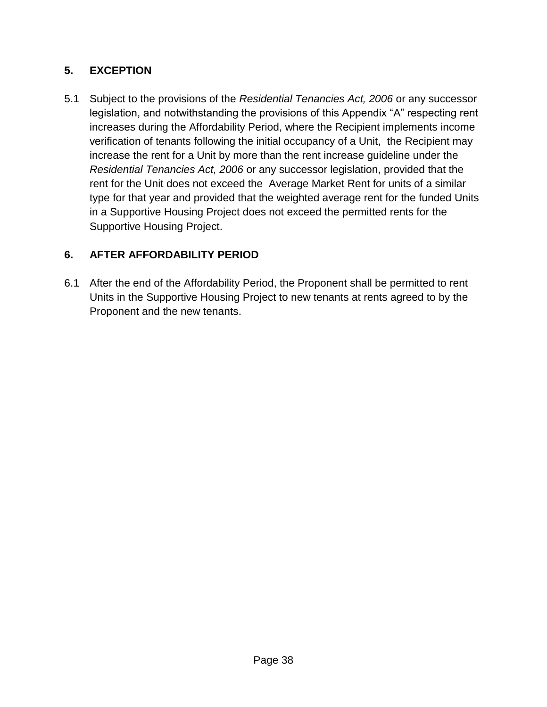# **5. EXCEPTION**

5.1 Subject to the provisions of the *Residential Tenancies Act, 2006* or any successor legislation, and notwithstanding the provisions of this Appendix "A" respecting rent increases during the Affordability Period, where the Recipient implements income verification of tenants following the initial occupancy of a Unit, the Recipient may increase the rent for a Unit by more than the rent increase guideline under the *Residential Tenancies Act, 2006* or any successor legislation, provided that the rent for the Unit does not exceed the Average Market Rent for units of a similar type for that year and provided that the weighted average rent for the funded Units in a Supportive Housing Project does not exceed the permitted rents for the Supportive Housing Project.

# **6. AFTER AFFORDABILITY PERIOD**

6.1 After the end of the Affordability Period, the Proponent shall be permitted to rent Units in the Supportive Housing Project to new tenants at rents agreed to by the Proponent and the new tenants.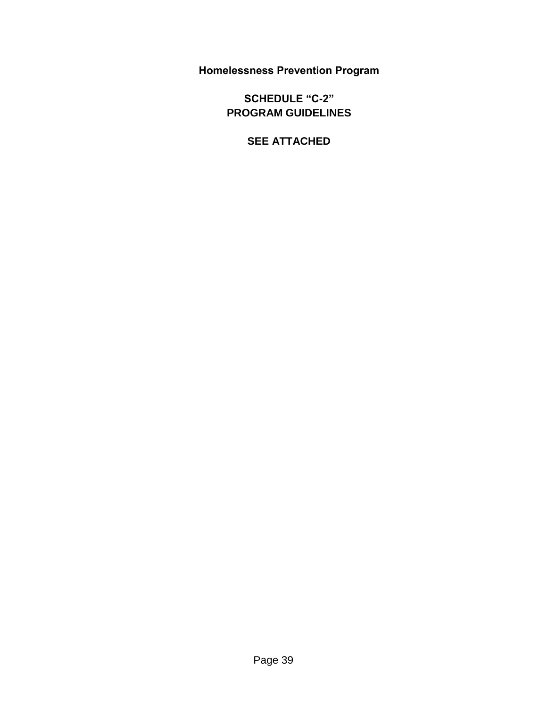**Homelessness Prevention Program**

**SCHEDULE "C-2" PROGRAM GUIDELINES**

**SEE ATTACHED**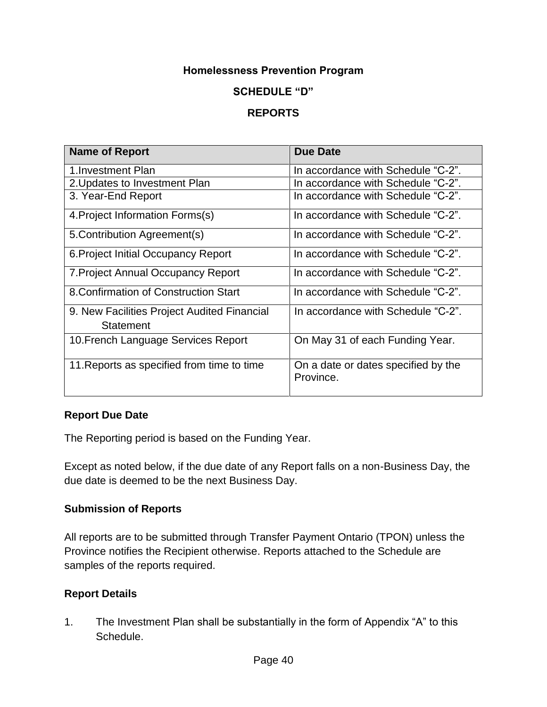## **Homelessness Prevention Program**

#### **SCHEDULE "D"**

## **REPORTS**

| <b>Name of Report</b>                                    | <b>Due Date</b>                                  |
|----------------------------------------------------------|--------------------------------------------------|
| 1. Investment Plan                                       | In accordance with Schedule "C-2".               |
| 2. Updates to Investment Plan                            | In accordance with Schedule "C-2".               |
| 3. Year-End Report                                       | In accordance with Schedule "C-2".               |
| 4. Project Information Forms(s)                          | In accordance with Schedule "C-2".               |
| 5. Contribution Agreement(s)                             | In accordance with Schedule "C-2".               |
| 6. Project Initial Occupancy Report                      | In accordance with Schedule "C-2".               |
| 7. Project Annual Occupancy Report                       | In accordance with Schedule "C-2".               |
| 8. Confirmation of Construction Start                    | In accordance with Schedule "C-2".               |
| 9. New Facilities Project Audited Financial<br>Statement | In accordance with Schedule "C-2".               |
| 10. French Language Services Report                      | On May 31 of each Funding Year.                  |
| 11. Reports as specified from time to time               | On a date or dates specified by the<br>Province. |

#### **Report Due Date**

The Reporting period is based on the Funding Year.

Except as noted below, if the due date of any Report falls on a non-Business Day, the due date is deemed to be the next Business Day.

#### **Submission of Reports**

All reports are to be submitted through Transfer Payment Ontario (TPON) unless the Province notifies the Recipient otherwise. Reports attached to the Schedule are samples of the reports required.

#### **Report Details**

1. The Investment Plan shall be substantially in the form of Appendix "A" to this Schedule.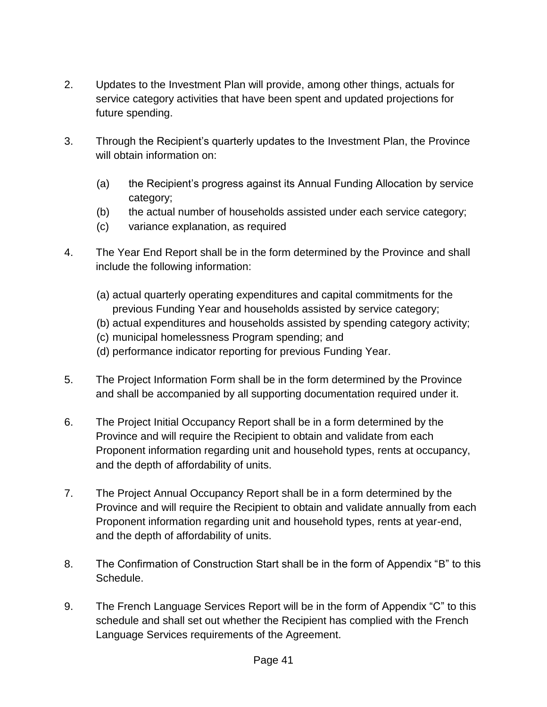- 2. Updates to the Investment Plan will provide, among other things, actuals for service category activities that have been spent and updated projections for future spending.
- 3. Through the Recipient's quarterly updates to the Investment Plan, the Province will obtain information on:
	- (a) the Recipient's progress against its Annual Funding Allocation by service category;
	- (b) the actual number of households assisted under each service category;
	- (c) variance explanation, as required
- 4. The Year End Report shall be in the form determined by the Province and shall include the following information:
	- (a) actual quarterly operating expenditures and capital commitments for the previous Funding Year and households assisted by service category;
	- (b) actual expenditures and households assisted by spending category activity;
	- (c) municipal homelessness Program spending; and
	- (d) performance indicator reporting for previous Funding Year.
- 5. The Project Information Form shall be in the form determined by the Province and shall be accompanied by all supporting documentation required under it.
- 6. The Project Initial Occupancy Report shall be in a form determined by the Province and will require the Recipient to obtain and validate from each Proponent information regarding unit and household types, rents at occupancy, and the depth of affordability of units.
- 7. The Project Annual Occupancy Report shall be in a form determined by the Province and will require the Recipient to obtain and validate annually from each Proponent information regarding unit and household types, rents at year-end, and the depth of affordability of units.
- 8. The Confirmation of Construction Start shall be in the form of Appendix "B" to this Schedule.
- 9. The French Language Services Report will be in the form of Appendix "C" to this schedule and shall set out whether the Recipient has complied with the French Language Services requirements of the Agreement.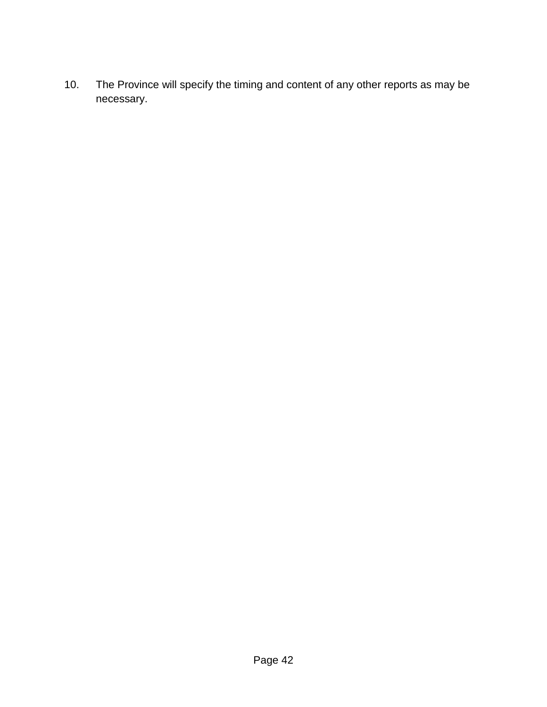10. The Province will specify the timing and content of any other reports as may be necessary.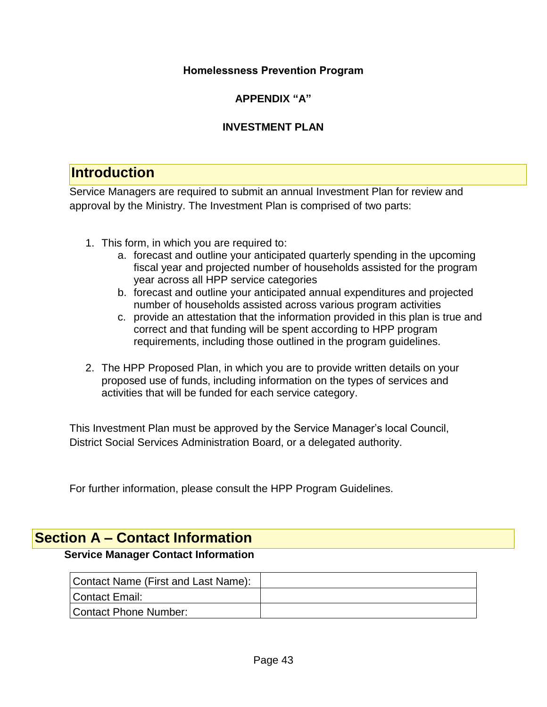## **Homelessness Prevention Program**

# **APPENDIX "A"**

# **INVESTMENT PLAN**

# **Introduction**

Service Managers are required to submit an annual Investment Plan for review and approval by the Ministry. The Investment Plan is comprised of two parts:

- 1. This form, in which you are required to:
	- a. forecast and outline your anticipated quarterly spending in the upcoming fiscal year and projected number of households assisted for the program year across all HPP service categories
	- b. forecast and outline your anticipated annual expenditures and projected number of households assisted across various program activities
	- c. provide an attestation that the information provided in this plan is true and correct and that funding will be spent according to HPP program requirements, including those outlined in the program guidelines.
- 2. The HPP Proposed Plan, in which you are to provide written details on your proposed use of funds, including information on the types of services and activities that will be funded for each service category.

This Investment Plan must be approved by the Service Manager's local Council, District Social Services Administration Board, or a delegated authority.

For further information, please consult the HPP Program Guidelines.

# **Section A – Contact Information**

## **Service Manager Contact Information**

| Contact Name (First and Last Name): |  |
|-------------------------------------|--|
| Contact Email:                      |  |
| Contact Phone Number:               |  |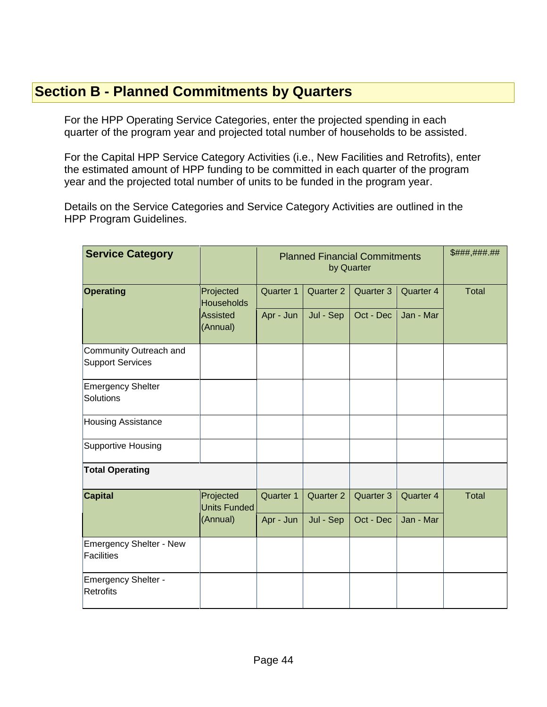# **Section B - Planned Commitments by Quarters**

For the HPP Operating Service Categories, enter the projected spending in each quarter of the program year and projected total number of households to be assisted.

For the Capital HPP Service Category Activities (i.e., New Facilities and Retrofits), enter the estimated amount of HPP funding to be committed in each quarter of the program year and the projected total number of units to be funded in the program year.

Details on the Service Categories and Service Category Activities are outlined in the HPP Program Guidelines.

| <b>Service Category</b>                             |                                | <b>Planned Financial Commitments</b><br>by Quarter |           |           | \$###,###.## |              |
|-----------------------------------------------------|--------------------------------|----------------------------------------------------|-----------|-----------|--------------|--------------|
| Operating                                           | Projected<br><b>Households</b> | Quarter 1                                          | Quarter 2 | Quarter 3 | Quarter 4    | <b>Total</b> |
|                                                     | Assisted<br>(Annual)           | Apr - Jun                                          | Jul - Sep | Oct - Dec | Jan - Mar    |              |
| Community Outreach and<br><b>Support Services</b>   |                                |                                                    |           |           |              |              |
| <b>Emergency Shelter</b><br><b>Solutions</b>        |                                |                                                    |           |           |              |              |
| <b>Housing Assistance</b>                           |                                |                                                    |           |           |              |              |
| <b>Supportive Housing</b>                           |                                |                                                    |           |           |              |              |
| <b>Total Operating</b>                              |                                |                                                    |           |           |              |              |
| <b>Capital</b>                                      | Projected<br>Units Funded      | Quarter 1                                          | Quarter 2 | Quarter 3 | Quarter 4    | <b>Total</b> |
|                                                     | (Annual)                       | Apr - Jun                                          | Jul - Sep | Oct - Dec | Jan - Mar    |              |
| <b>Emergency Shelter - New</b><br><b>Facilities</b> |                                |                                                    |           |           |              |              |
| <b>Emergency Shelter -</b><br><b>Retrofits</b>      |                                |                                                    |           |           |              |              |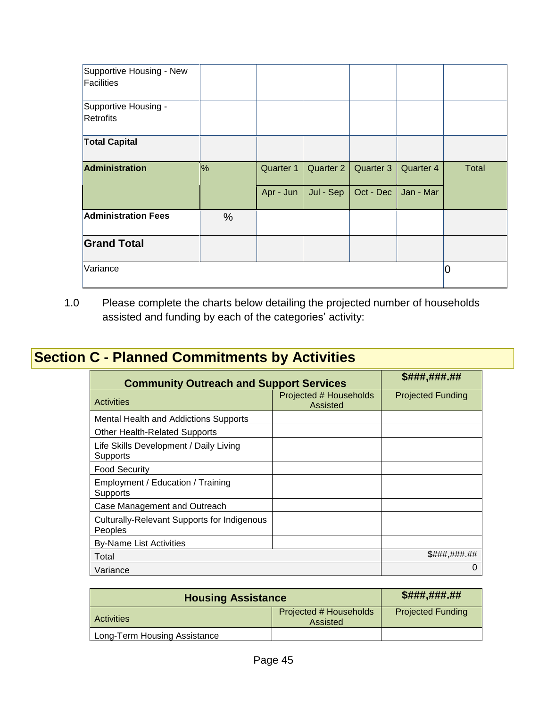| Supportive Housing - New<br>Facilities |               |           |           |           |           |              |
|----------------------------------------|---------------|-----------|-----------|-----------|-----------|--------------|
| Supportive Housing -<br>Retrofits      |               |           |           |           |           |              |
| <b>Total Capital</b>                   |               |           |           |           |           |              |
| Administration                         | $\frac{9}{6}$ | Quarter 1 | Quarter 2 | Quarter 3 | Quarter 4 | <b>Total</b> |
|                                        |               | Apr - Jun | Jul - Sep | Oct - Dec | Jan - Mar |              |
| <b>Administration Fees</b>             | $\frac{0}{0}$ |           |           |           |           |              |
| <b>Grand Total</b>                     |               |           |           |           |           |              |
| Variance                               |               |           |           |           |           | 10           |

1.0 Please complete the charts below detailing the projected number of households assisted and funding by each of the categories' activity:

# **Section C - Planned Commitments by Activities**

| <b>Community Outreach and Support Services</b>                | \$###,###.##                       |                          |
|---------------------------------------------------------------|------------------------------------|--------------------------|
| <b>Activities</b>                                             | Projected # Households<br>Assisted | <b>Projected Funding</b> |
| Mental Health and Addictions Supports                         |                                    |                          |
| Other Health-Related Supports                                 |                                    |                          |
| Life Skills Development / Daily Living<br>Supports            |                                    |                          |
| <b>Food Security</b>                                          |                                    |                          |
| Employment / Education / Training<br>Supports                 |                                    |                          |
| Case Management and Outreach                                  |                                    |                          |
| <b>Culturally-Relevant Supports for Indigenous</b><br>Peoples |                                    |                          |
| <b>By-Name List Activities</b>                                |                                    |                          |
| Total                                                         | <i>S###,###.##</i>                 |                          |
| Variance                                                      | 0                                  |                          |

| <b>Housing Assistance</b>    | \$###,###.##                       |                          |
|------------------------------|------------------------------------|--------------------------|
| <b>Activities</b>            | Projected # Households<br>Assisted | <b>Projected Funding</b> |
| Long-Term Housing Assistance |                                    |                          |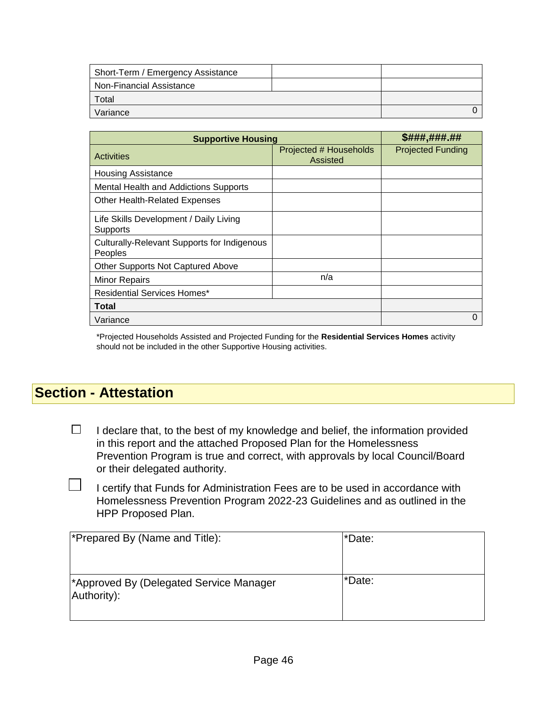| Short-Term / Emergency Assistance |  |  |
|-----------------------------------|--|--|
| Non-Financial Assistance          |  |  |
| Total                             |  |  |
| Variance                          |  |  |

| <b>Supportive Housing</b>                                     | \$###,###.##                       |                          |
|---------------------------------------------------------------|------------------------------------|--------------------------|
| <b>Activities</b>                                             | Projected # Households<br>Assisted | <b>Projected Funding</b> |
| <b>Housing Assistance</b>                                     |                                    |                          |
| Mental Health and Addictions Supports                         |                                    |                          |
| <b>Other Health-Related Expenses</b>                          |                                    |                          |
| Life Skills Development / Daily Living<br>Supports            |                                    |                          |
| <b>Culturally-Relevant Supports for Indigenous</b><br>Peoples |                                    |                          |
| Other Supports Not Captured Above                             |                                    |                          |
| <b>Minor Repairs</b>                                          | n/a                                |                          |
| Residential Services Homes*                                   |                                    |                          |
| <b>Total</b>                                                  |                                    |                          |
| Variance                                                      |                                    | O                        |

\*Projected Households Assisted and Projected Funding for the **Residential Services Homes** activity should not be included in the other Supportive Housing activities.

# **Section - Attestation**

 $\Box$ 

 $\Box$ I declare that, to the best of my knowledge and belief, the information provided in this report and the attached Proposed Plan for the Homelessness Prevention Program is true and correct, with approvals by local Council/Board or their delegated authority.

I certify that Funds for Administration Fees are to be used in accordance with Homelessness Prevention Program 2022-23 Guidelines and as outlined in the HPP Proposed Plan.

| Prepared By (Name and Title):                                      | *Date: |
|--------------------------------------------------------------------|--------|
| <sup>*</sup> Approved By (Delegated Service Manager<br>Authority): | *Date: |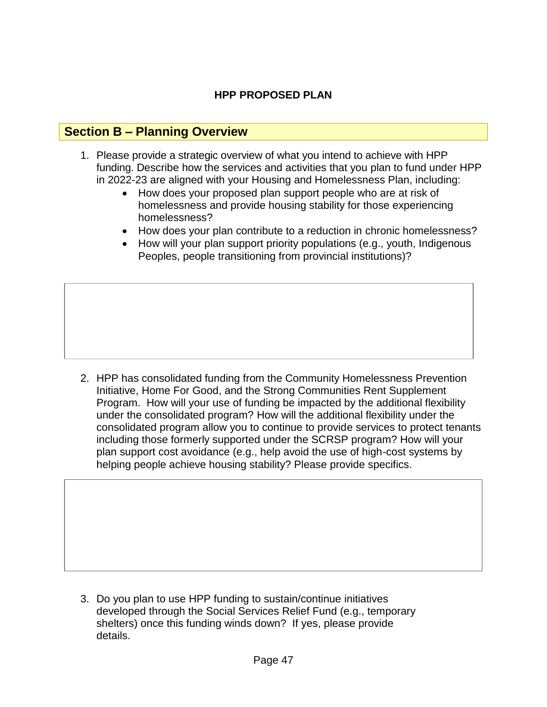# **HPP PROPOSED PLAN**

# **Section B – Planning Overview**

- 1. Please provide a strategic overview of what you intend to achieve with HPP funding. Describe how the services and activities that you plan to fund under HPP in 2022-23 are aligned with your Housing and Homelessness Plan, including:
	- How does your proposed plan support people who are at risk of homelessness and provide housing stability for those experiencing homelessness?
	- How does your plan contribute to a reduction in chronic homelessness?
	- How will your plan support priority populations (e.g., youth, Indigenous Peoples, people transitioning from provincial institutions)?

2. HPP has consolidated funding from the Community Homelessness Prevention Initiative, Home For Good, and the Strong Communities Rent Supplement Program. How will your use of funding be impacted by the additional flexibility under the consolidated program? How will the additional flexibility under the consolidated program allow you to continue to provide services to protect tenants including those formerly supported under the SCRSP program? How will your plan support cost avoidance (e.g., help avoid the use of high-cost systems by helping people achieve housing stability? Please provide specifics.

3. Do you plan to use HPP funding to sustain/continue initiatives developed through the Social Services Relief Fund (e.g., temporary shelters) once this funding winds down? If yes, please provide details.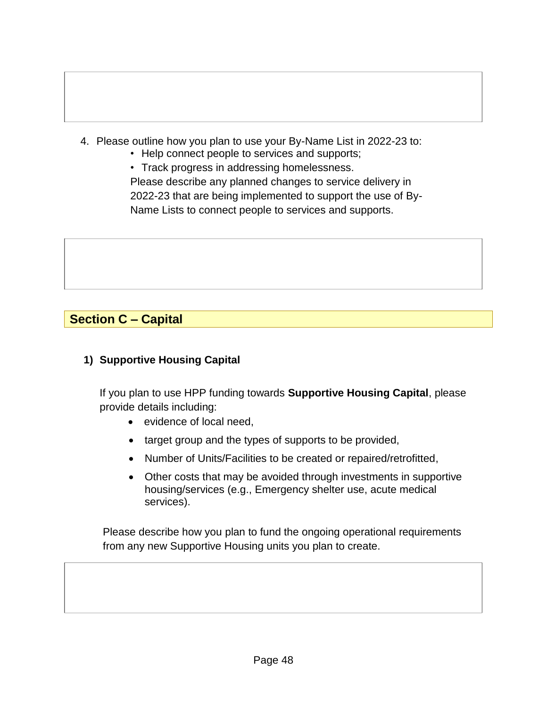- 4. Please outline how you plan to use your By-Name List in 2022-23 to:
	- Help connect people to services and supports;

• Track progress in addressing homelessness. Please describe any planned changes to service delivery in 2022-23 that are being implemented to support the use of By-Name Lists to connect people to services and supports.

# **Section C – Capital**

# **1) Supportive Housing Capital**

If you plan to use HPP funding towards **Supportive Housing Capital**, please provide details including:

- evidence of local need,
- target group and the types of supports to be provided,
- Number of Units/Facilities to be created or repaired/retrofitted,
- Other costs that may be avoided through investments in supportive housing/services (e.g., Emergency shelter use, acute medical services).

Please describe how you plan to fund the ongoing operational requirements from any new Supportive Housing units you plan to create.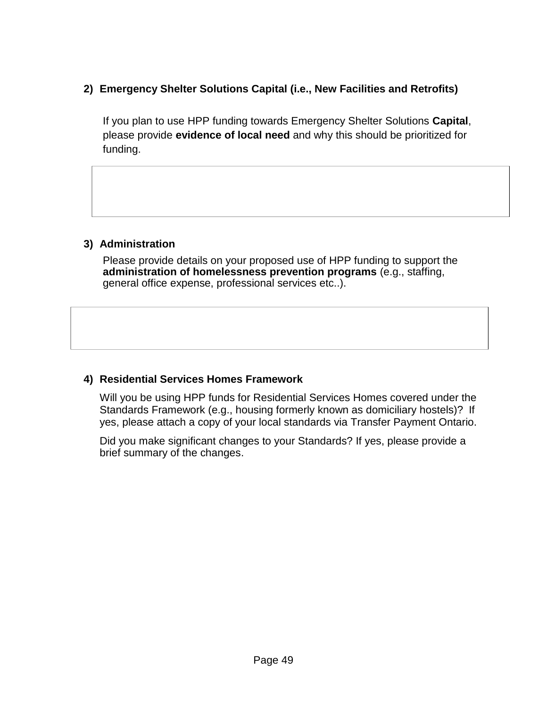# **2) Emergency Shelter Solutions Capital (i.e., New Facilities and Retrofits)**

If you plan to use HPP funding towards Emergency Shelter Solutions **Capital**, please provide **evidence of local need** and why this should be prioritized for funding.

#### **3) Administration**

Please provide details on your proposed use of HPP funding to support the **administration of homelessness prevention programs** (e.g., staffing, general office expense, professional services etc..).

## **4) Residential Services Homes Framework**

Will you be using HPP funds for Residential Services Homes covered under the Standards Framework (e.g., housing formerly known as domiciliary hostels)? If yes, please attach a copy of your local standards via Transfer Payment Ontario.

Did you make significant changes to your Standards? If yes, please provide a brief summary of the changes.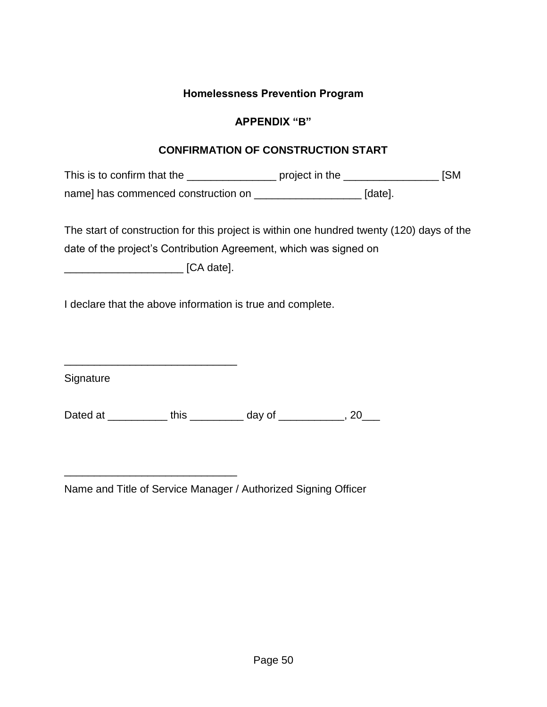## **Homelessness Prevention Program**

## **APPENDIX "B"**

## **CONFIRMATION OF CONSTRUCTION START**

This is to confirm that the \_\_\_\_\_\_\_\_\_\_\_\_\_\_\_\_\_\_\_ project in the \_\_\_\_\_\_\_\_\_\_\_\_\_\_\_\_\_\_ [SM name] has commenced construction on \_\_\_\_\_\_\_\_\_\_\_\_\_\_\_\_\_\_\_\_\_\_\_\_ [date].

The start of construction for this project is within one hundred twenty (120) days of the date of the project's Contribution Agreement, which was signed on

\_\_\_\_\_\_\_\_\_\_\_\_\_\_\_\_\_\_\_\_ [CA date].

\_\_\_\_\_\_\_\_\_\_\_\_\_\_\_\_\_\_\_\_\_\_\_\_\_\_\_\_\_

\_\_\_\_\_\_\_\_\_\_\_\_\_\_\_\_\_\_\_\_\_\_\_\_\_\_\_\_\_

I declare that the above information is true and complete.

**Signature** 

Dated at \_\_\_\_\_\_\_\_\_\_\_\_ this \_\_\_\_\_\_\_\_\_\_ day of \_\_\_\_\_\_\_\_\_\_\_, 20\_\_\_

Name and Title of Service Manager / Authorized Signing Officer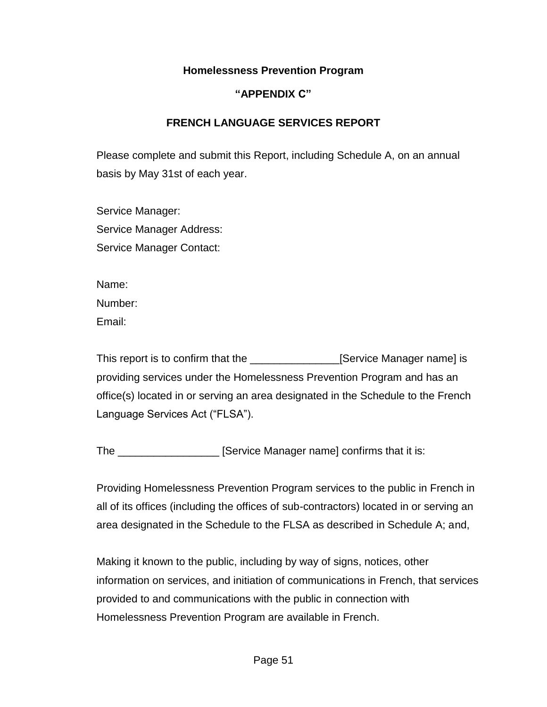## **Homelessness Prevention Program**

## **"APPENDIX C"**

## **FRENCH LANGUAGE SERVICES REPORT**

Please complete and submit this Report, including Schedule A, on an annual basis by May 31st of each year.

Service Manager: Service Manager Address: Service Manager Contact:

Name:

Number:

Email:

This report is to confirm that the **Service Manager name** is providing services under the Homelessness Prevention Program and has an office(s) located in or serving an area designated in the Schedule to the French Language Services Act ("FLSA").

The \_\_\_\_\_\_\_\_\_\_\_\_\_\_\_\_\_\_\_\_ [Service Manager name] confirms that it is:

Providing Homelessness Prevention Program services to the public in French in all of its offices (including the offices of sub-contractors) located in or serving an area designated in the Schedule to the FLSA as described in Schedule A; and,

Making it known to the public, including by way of signs, notices, other information on services, and initiation of communications in French, that services provided to and communications with the public in connection with Homelessness Prevention Program are available in French.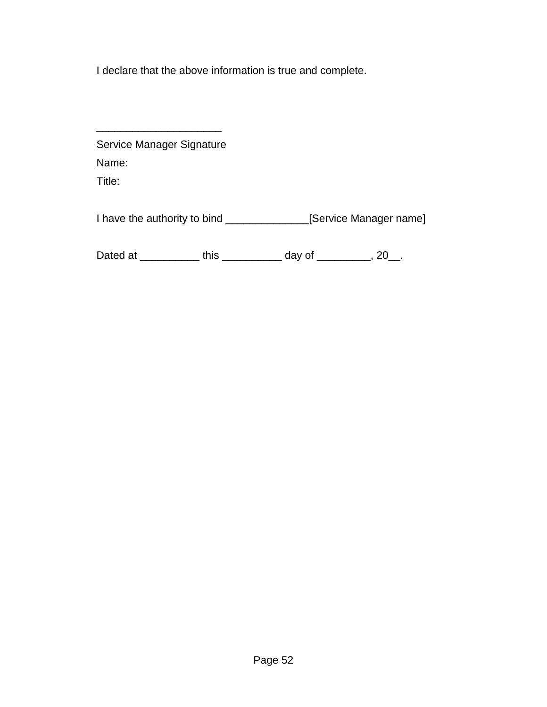I declare that the above information is true and complete.

| Service Manager Signature |                                        |        |                       |
|---------------------------|----------------------------------------|--------|-----------------------|
| Name:                     |                                        |        |                       |
| Title:                    |                                        |        |                       |
|                           | I have the authority to bind _________ |        | Service Manager name] |
| Dated at                  | this                                   | day of |                       |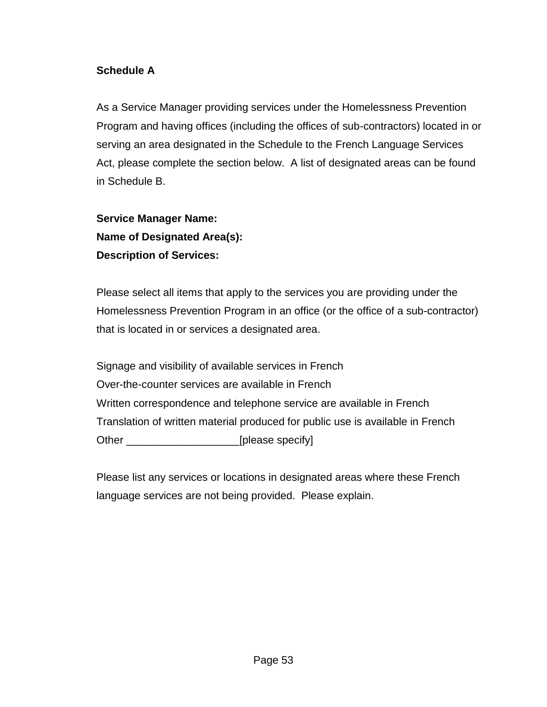# **Schedule A**

As a Service Manager providing services under the Homelessness Prevention Program and having offices (including the offices of sub-contractors) located in or serving an area designated in the Schedule to the French Language Services Act, please complete the section below. A list of designated areas can be found in Schedule B.

**Service Manager Name: Name of Designated Area(s): Description of Services:**

Please select all items that apply to the services you are providing under the Homelessness Prevention Program in an office (or the office of a sub-contractor) that is located in or services a designated area.

Signage and visibility of available services in French Over-the-counter services are available in French Written correspondence and telephone service are available in French Translation of written material produced for public use is available in French Other \_\_\_\_\_\_\_\_\_\_\_\_\_\_\_\_\_\_\_[please specify]

Please list any services or locations in designated areas where these French language services are not being provided. Please explain.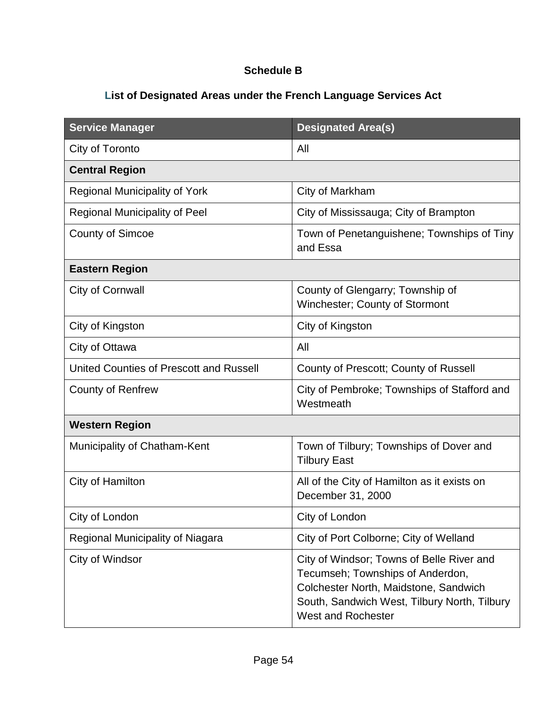# **Schedule B**

# **List of Designated Areas under the French Language Services Act**

| <b>Service Manager</b>                  | <b>Designated Area(s)</b>                                                                                                                                                                    |
|-----------------------------------------|----------------------------------------------------------------------------------------------------------------------------------------------------------------------------------------------|
| City of Toronto                         | All                                                                                                                                                                                          |
| <b>Central Region</b>                   |                                                                                                                                                                                              |
| <b>Regional Municipality of York</b>    | City of Markham                                                                                                                                                                              |
| <b>Regional Municipality of Peel</b>    | City of Mississauga; City of Brampton                                                                                                                                                        |
| <b>County of Simcoe</b>                 | Town of Penetanguishene; Townships of Tiny<br>and Essa                                                                                                                                       |
| <b>Eastern Region</b>                   |                                                                                                                                                                                              |
| City of Cornwall                        | County of Glengarry; Township of<br>Winchester; County of Stormont                                                                                                                           |
| City of Kingston                        | City of Kingston                                                                                                                                                                             |
| City of Ottawa                          | All                                                                                                                                                                                          |
| United Counties of Prescott and Russell | County of Prescott; County of Russell                                                                                                                                                        |
| <b>County of Renfrew</b>                | City of Pembroke; Townships of Stafford and<br>Westmeath                                                                                                                                     |
| <b>Western Region</b>                   |                                                                                                                                                                                              |
| Municipality of Chatham-Kent            | Town of Tilbury; Townships of Dover and<br><b>Tilbury East</b>                                                                                                                               |
| City of Hamilton                        | All of the City of Hamilton as it exists on<br>December 31, 2000                                                                                                                             |
| City of London                          | City of London                                                                                                                                                                               |
| Regional Municipality of Niagara        | City of Port Colborne; City of Welland                                                                                                                                                       |
| City of Windsor                         | City of Windsor; Towns of Belle River and<br>Tecumseh; Townships of Anderdon,<br>Colchester North, Maidstone, Sandwich<br>South, Sandwich West, Tilbury North, Tilbury<br>West and Rochester |